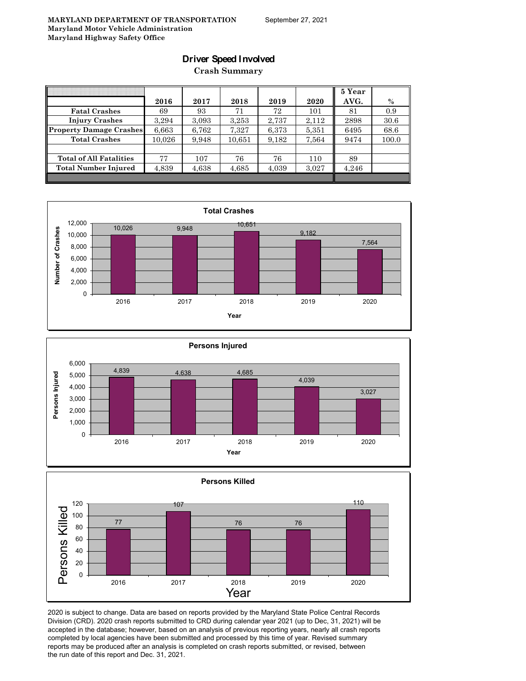### **Driver Speed Involved**

**Crash Summary**

|                                | 2016   | 2017  | 2018   | 2019  | 2020  | 5 Year<br>AVG. | $\%$  |
|--------------------------------|--------|-------|--------|-------|-------|----------------|-------|
| <b>Fatal Crashes</b>           | 69     | 93    | 71     | 72    | 101   | 81             | 0.9   |
| <b>Injury Crashes</b>          | 3.294  | 3.093 | 3,253  | 2,737 | 2.112 | 2898           | 30.6  |
| <b>Property Damage Crashes</b> | 6,663  | 6,762 | 7,327  | 6,373 | 5,351 | 6495           | 68.6  |
| <b>Total Crashes</b>           | 10.026 | 9,948 | 10,651 | 9,182 | 7,564 | 9474           | 100.0 |
|                                |        |       |        |       |       |                |       |
| <b>Total of All Fatalities</b> | 77     | 107   | 76     | 76    | 110   | 89             |       |
| <b>Total Number Injured</b>    | 4,839  | 4,638 | 4,685  | 4,039 | 3,027 | 4.246          |       |
|                                |        |       |        |       |       |                |       |







2020 is subject to change. Data are based on reports provided by the Maryland State Police Central Records Division (CRD). 2020 crash reports submitted to CRD during calendar year 2021 (up to Dec, 31, 2021) will be accepted in the database; however, based on an analysis of previous reporting years, nearly all crash reports completed by local agencies have been submitted and processed by this time of year. Revised summary reports may be produced after an analysis is completed on crash reports submitted, or revised, between the run date of this report and Dec. 31, 2021.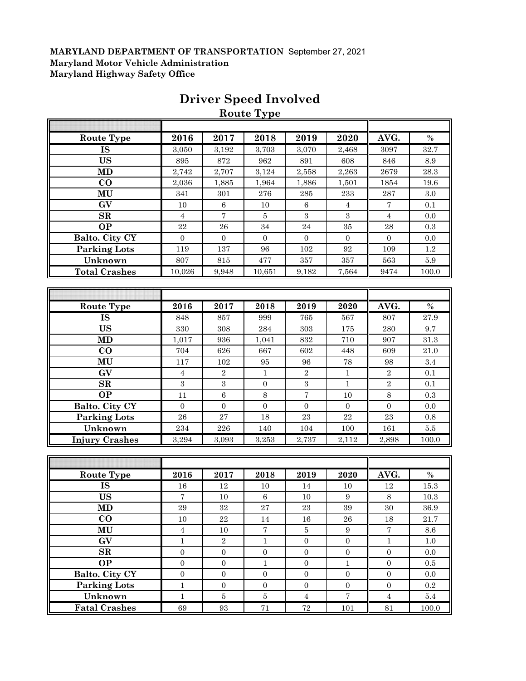|                       |                  |                   | <b>Route Type</b> |                  |                   |                  |          |
|-----------------------|------------------|-------------------|-------------------|------------------|-------------------|------------------|----------|
|                       |                  |                   |                   |                  |                   |                  |          |
| <b>Route Type</b>     | 2016             | 2017              | 2018              | 2019             | 2020              | AVG.             | $\%$     |
| IS                    | 3,050            | 3,192             | 3,703             | 3,070            | 2,468             | 3097             | 32.7     |
| <b>US</b>             | 895              | 872               | 962               | 891              | 608               | 846              | 8.9      |
| <b>MD</b>             | 2,742            | 2,707             | 3,124             | 2,558            | 2,263             | 2679             | $28.3\,$ |
| $\bf CO$              | 2,036            | 1,885             | 1,964             | 1,886            | 1,501             | 1854             | 19.6     |
| MU                    | 341              | 301               | 276               | 285              | 233               | 287              | 3.0      |
| GV                    | $10\,$           | $\,6\,$           | $10\,$            | $\,6\,$          | $\sqrt{4}$        | 7                | 0.1      |
| SR                    | $\overline{4}$   | $\overline{7}$    | $\bf 5$           | 3                | $\sqrt{3}$        | $\overline{4}$   | 0.0      |
| <b>OP</b>             | 22               | 26                | 34                | 24               | 35                | 28               | 0.3      |
| Balto. City CY        | $\boldsymbol{0}$ | $\boldsymbol{0}$  | $\overline{0}$    | $\mathbf{0}$     | $\overline{0}$    | $\overline{0}$   | 0.0      |
| <b>Parking Lots</b>   | 119              | 137               | 96                | $102\,$          | $\boldsymbol{92}$ | 109              | $1.2\,$  |
| Unknown               | 807              | 815               | 477               | 357              | 357               | 563              | $5.9\,$  |
| <b>Total Crashes</b>  | 10,026           | 9,948             | 10,651            | 9,182            | 7,564             | 9474             | 100.0    |
|                       |                  |                   |                   |                  |                   |                  |          |
|                       |                  |                   |                   |                  |                   |                  |          |
| Route Type            | 2016             | 2017              | 2018              | 2019             | 2020              | AVG.             | $\%$     |
| IS                    | 848              | 857               | 999               | 765              | 567               | 807              | 27.9     |
| <b>US</b>             | 330              | 308               | 284               | 303              | 175               | 280              | 9.7      |
| <b>MD</b>             | 1,017            | 936               | 1,041             | 832              | 710               | 907              | 31.3     |
| $\bf CO$              | 704              | 626               | 667               | 602              | 448               | 609              | $21.0\,$ |
| MU                    | 117              | 102               | 95                | 96               | 78                | 98               | 3.4      |
| GV                    | $\overline{4}$   | $\,2$             | $\mathbf{1}$      | $\sqrt{2}$       | $\mathbf{1}$      | $\sqrt{2}$       | 0.1      |
| SR                    | $\sqrt{3}$       | $\sqrt{3}$        | $\boldsymbol{0}$  | 3                | $\mathbf{1}$      | $\sqrt{2}$       | 0.1      |
| <b>OP</b>             | 11               | $\,6$             | $\,8\,$           | 7                | 10                | $\,8\,$          | 0.3      |
| Balto. City CY        | $\boldsymbol{0}$ | $\boldsymbol{0}$  | $\boldsymbol{0}$  | $\boldsymbol{0}$ | $\boldsymbol{0}$  | $\boldsymbol{0}$ | 0.0      |
| <b>Parking Lots</b>   | 26               | 27                | 18                | 23               | 22                | 23               | 0.8      |
| Unknown               | 234              | 226               | 140               | 104              | 100               | 161              | $5.5\,$  |
| <b>Injury Crashes</b> | 3,294            | 3,093             | 3,253             | 2,737            | 2,112             | 2,898            | 100.0    |
|                       |                  |                   |                   |                  |                   |                  |          |
|                       |                  |                   |                   |                  |                   |                  |          |
| Route Type            | 2016             | 2017              | 2018              | 2019             | 2020              | AVG.             | $\%$     |
| IS                    | $16\,$           | 12                | 10                | 14               | $10\,$            | $12\,$           | 15.3     |
| US                    | $\overline{7}$   | $10\,$            | 6                 | 10               | 9                 | 8                | 10.3     |
| MD                    | 29               | 32                | 27                | 23               | 39                | 30               | 36.9     |
| $\bf CO$              | $10\,$           | $\bf{22}$         | $14\,$            | $16\,$           | ${\bf 26}$        | $18\,$           | $21.7\,$ |
| MU                    | $\overline{4}$   | $10\,$            | $\sqrt{ }$        | $\bf 5$          | $\boldsymbol{9}$  | $\sqrt{ }$       | 8.6      |
| GV                    | $\mathbf{1}$     | $\overline{2}$    | $\mathbf{1}$      | $\boldsymbol{0}$ | $\boldsymbol{0}$  | $\,1\,$          | $1.0\,$  |
| $\mathbf{SR}$         | $\boldsymbol{0}$ | $\boldsymbol{0}$  | $\boldsymbol{0}$  | $\boldsymbol{0}$ | $\boldsymbol{0}$  | $\boldsymbol{0}$ | $0.0\,$  |
| <b>OP</b>             | $\boldsymbol{0}$ | $\boldsymbol{0}$  | $\mathbf 1$       | $\boldsymbol{0}$ | $\mathbf 1$       | $\boldsymbol{0}$ | 0.5      |
| <b>Balto. City CY</b> | $\boldsymbol{0}$ | $\boldsymbol{0}$  | $\overline{0}$    | $\boldsymbol{0}$ | $\boldsymbol{0}$  | $\boldsymbol{0}$ | $0.0\,$  |
| <b>Parking Lots</b>   | $\,1$            | $\boldsymbol{0}$  | $\boldsymbol{0}$  | $\boldsymbol{0}$ | $\boldsymbol{0}$  | $\boldsymbol{0}$ | 0.2      |
| Unknown               | $\,1$            | $\bf 5$           | $\bf 5$           | $\overline{4}$   | $\sqrt{ }$        | $\sqrt{4}$       | $5.4\,$  |
| <b>Fatal Crashes</b>  | $69\,$           | $\boldsymbol{93}$ | $71\,$            | $\sqrt{72}$      | 101               | 81               | 100.0    |

# **Driver Speed Involved**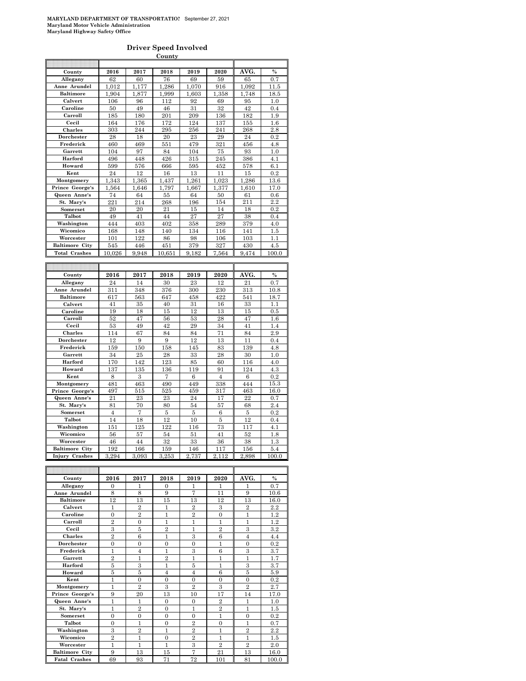#### **Driver Speed Involved**

|                          |                     |        | County              |        |         |        |               |
|--------------------------|---------------------|--------|---------------------|--------|---------|--------|---------------|
|                          |                     |        |                     |        |         |        |               |
| County                   | 2016                | 2017   | 2018                | 2019   | 2020    | AVG.   | $\%$          |
| Allegany                 | 62                  | 60     | 76                  | 69     | 59      | 65     | 0.7           |
| Anne Arundel             | 1,012               | 1,177  | 1,286               | 1,070  | 916     | 1,092  | 11.5          |
| Baltimore                | 1,904               | 1,877  | 1,999               | 1,603  | 1,358   | 1,748  | 18.5          |
| Calvert                  | 106                 | 96     | 112                 | 92     | 69      | 95     | 1.0           |
| Caroline                 | 50                  | 49     | 46                  | 31     | 32      | 42     | 0.4           |
| Carroll                  | 185                 | 180    | 201                 | 209    | 136     | 182    | 1.9           |
| Cecil                    | 164                 | 176    | 172                 | 124    | 137     | 155    | $1.6\,$       |
| Charles                  | 303                 | 244    | 295                 | 256    | 241     | 268    | 2.8           |
|                          | 28                  | 18     | 20                  | 23     | 29      | 24     |               |
| Dorchester               |                     |        |                     |        |         |        | 0.2           |
| Frederick                | 460                 | 469    | 551                 | 479    | 321     | 456    | 4.8           |
| Garrett                  | 104                 | 97     | 84                  | 104    | 75      | 93     | 1.0           |
| Harford                  | 496                 | 448    | 426                 | 315    | 245     | 386    | 4.1           |
| Howard                   | 599                 | 576    | 666                 | 595    | 452     | 578    | 6.1           |
| Kent                     | 24                  | 12     | 16                  | 13     | 11      | 15     | 0.2           |
| Montgomery               | 1,343               | 1,365  | 1,437               | 1,261  | 1,023   | 1,286  | 13.6          |
| Prince George's          | 1,564               | 1,646  | 1,797               | 1,667  | 1,377   | 1,610  | 17.0          |
| Queen Anne's             | 74                  | 64     | 55                  | 64     | 50      | 61     | 0.6           |
| St. Mary's               | 221                 | 214    | 268                 | 196    | 154     | 211    | 2.2           |
| Somerset                 | 20                  | 20     | 21                  | 15     | 14      | 18     | 0.2           |
| Talbot                   | 49                  | 41     | 44                  | 27     | 27      | 38     | 0.4           |
| Washington               | 444                 | 403    | 402                 | 358    | 289     | 379    | 4.0           |
|                          |                     |        |                     |        |         |        |               |
| Wicomico                 | 168                 | 148    | 140                 | 134    | 116     | 141    | 1.5           |
| Worcester                | 101                 | 122    | 86                  | 98     | 106     | 103    | 1.1           |
| <b>Baltimore City</b>    | 545                 | 446    | 451                 | 379    | 327     | 430    | 4.5           |
| <b>Total Crashes</b>     | 10.026              | 9.948  | 10.651              | 9.182  | 7.564   | 9.474  | 100.0         |
|                          |                     |        |                     |        |         |        |               |
|                          |                     |        |                     |        |         |        |               |
| County                   | 2016                | 2017   | 2018                | 2019   | 2020    | AVG.   | $\frac{0}{0}$ |
| Allegany                 | 24                  | 14     | 30                  | 23     | 12      | 21     | 0.7           |
| Anne Arundel             | 311                 | 348    | 376                 | 300    | 230     | 313    | 10.8          |
| <b>Baltimore</b>         | 617                 | 563    | 647                 | 458    | 422     | 541    | 18.7          |
| Calvert                  | 41                  | 35     | 40                  | 31     | 16      | 33     | 1.1           |
| Caroline                 | 19                  | 18     | 15                  | 12     | 13      | 15     | 0.5           |
| Carroll                  | 52                  | 47     | 56                  | 53     | 28      | 47     |               |
|                          |                     |        |                     |        |         |        | 1.6           |
| Cecil                    | 53                  | 49     | 42                  | 29     | 34      | 41     | 1.4           |
| Charles                  | 114                 | 67     | 84                  | 84     | 71      | 84     | 2.9           |
| Dorchester               | 12                  | 9      | 9                   | 12     | 13      | 11     | 0.4           |
| Frederick                | 159                 | 150    | 158                 | 145    | 83      | 139    | 4.8           |
| Garrett                  | 34                  | 25     | 28                  | 33     | 28      | 30     | 1.0           |
| Harford                  | 170                 | 142    | 123                 | 85     | 60      | 116    | 4.0           |
| Howard                   | 137                 | 135    | 136                 | 119    | 91      | 124    | 4.3           |
| Kent                     | 8                   | 3      | 7                   | 6      | 4       | 6      | 0.2           |
| Montgomery               | 481                 | 463    | 490                 | 449    | 338     | 444    | 15.3          |
| Prince George's          | 497                 | 515    | 525                 | 459    | 317     | 463    | 16.0          |
| Queen Anne's             | 21                  | 23     | 23                  | 24     | 17      | 22     | 0.7           |
| St. Mary's               | 81                  | 70     | 80                  | 54     | 57      | 68     | 2.4           |
|                          | $\overline{4}$      | 7      |                     |        |         |        |               |
| Somerset                 |                     |        | $\bf 5$             | 5      | 6       | 5      | 0.2           |
| Talbot                   | 14                  | 18     | 12                  | 10     | 5       | 12     | 0.4           |
| Washington               | 151                 | 125    | 122                 | 116    | 73      | 117    | 4.1           |
| Wicomico                 | 56                  | 57     | 54                  | 51     | 41      | 52     | 1.8           |
| Worcester                | 46                  | 44     | 32                  | 33     | 36      | 38     | 1.3           |
|                          |                     |        |                     |        |         | 156    | 5.4           |
| <b>Baltimore City</b>    | 192                 | 166    | 159                 | 146    | 117     |        |               |
| <b>Injury Crashes</b>    | 3.294               | 3,093  | 3.253               | 2.737  | 2.112   | 2,898  | 100.0         |
|                          |                     |        |                     |        |         |        |               |
|                          |                     |        |                     |        |         |        |               |
|                          |                     |        |                     |        |         |        |               |
| County                   | 2016                | 2017   | 2018                | 2019   | 2020    | ĀVG.   | $\frac{9}{6}$ |
| Allegany<br>Anne Arundel | $\overline{0}$<br>8 | 1<br>8 | $\overline{0}$<br>9 | 1<br>7 | 1<br>11 | 1<br>9 | 0.7<br>10.6   |

| county                | 40 I O         | 40 L I         | 40 I O                  | 40 L J         | 4040                    | 21 V UT.       | 70      |
|-----------------------|----------------|----------------|-------------------------|----------------|-------------------------|----------------|---------|
| Allegany              | $\Omega$       | 1              | $\Omega$                |                |                         |                | 0.7     |
| Anne Arundel          | 8              | 8              | 9                       | $\overline{7}$ | 11                      | 9              | 10.6    |
| <b>Baltimore</b>      | 12             | 13             | 15                      | 13             | 12                      | 13             | 16.0    |
| Calvert               | $\mathbf{1}$   | $\overline{2}$ | 1                       | $\overline{2}$ | $\mathcal{S}$           | $\overline{2}$ | 2.2     |
| Caroline              | $\mathbf{0}$   | $\overline{2}$ | 1                       | $\overline{2}$ | $\Omega$                | 1              | 1.2     |
| Carroll               | $\overline{2}$ | $\overline{0}$ | 1                       | 1              | 1                       | 1              | $1.2\,$ |
| Cecil                 | 3              | 5              | $\overline{2}$          | 1              | $\overline{2}$          | 3              | $3.2\,$ |
| Charles               | $\overline{2}$ | 6              | 1                       | 3              | 6                       | $\overline{4}$ | 4.4     |
| Dorchester            | $\overline{0}$ | $\theta$       | $\theta$                | $\theta$       | 1                       | $\overline{0}$ | 0.2     |
| Frederick             | $\mathbf{1}$   | $\overline{4}$ | 1                       | 3              | 6                       | 3              | 3.7     |
| Garrett               | $\overline{2}$ | 1              | $\overline{2}$          | 1              | 1                       | 1              | 1.7     |
| Harford               | 5              | 3              | 1                       | $\overline{5}$ | 1                       | 3              | 3.7     |
| Howard                | 5              | 5              | $\overline{4}$          | $\overline{4}$ | 6                       | 5              | 5.9     |
| Kent                  | 1              | $\Omega$       | $\theta$                | $\Omega$       | $\Omega$                | $\mathbf{0}$   | 0.2     |
| Montgomery            | 1              | $\overline{2}$ | $\overline{\mathbf{3}}$ | $\overline{2}$ | $\overline{\mathbf{3}}$ | $\overline{2}$ | 2.7     |
| Prince George's       | 9              | 20             | 13                      | 10             | 17                      | 14             | 17.0    |
| Queen Anne's          | $\overline{1}$ | $\mathbf{1}$   | $\overline{0}$          | $\overline{0}$ | $\overline{2}$          | 1              | 1.0     |
| St. Mary's            | 1              | $\overline{2}$ | $\Omega$                | 1              | $\overline{2}$          | 1              | 1.5     |
| Somerset              | $\overline{0}$ | $\overline{0}$ | $\Omega$                | $\theta$       | $\mathbf{1}$            | $\overline{0}$ | 0.2     |
| Talbot                | $\overline{0}$ | $\mathbf{1}$   | $\Omega$                | $\overline{2}$ | $\mathbf{0}$            | 1              | 0.7     |
| Washington            | 3              | $\overline{2}$ | 1                       | $\overline{2}$ | 1                       | $\overline{2}$ | 2.2     |
| Wicomico              | $\overline{2}$ | 1              | $\Omega$                | $\overline{2}$ | 1                       | 1              | 1.5     |
| Worcester             | 1              | $\mathbf{1}$   | 1                       | 3              | $\overline{2}$          | $\overline{2}$ | 2.0     |
| <b>Baltimore City</b> | 9              | 13             | 15                      | $\overline{7}$ | 21                      | 13             | 16.0    |
| <b>Fatal Crashes</b>  | 69             | 93             | 71                      | 72             | 101                     | 81             | 100.0   |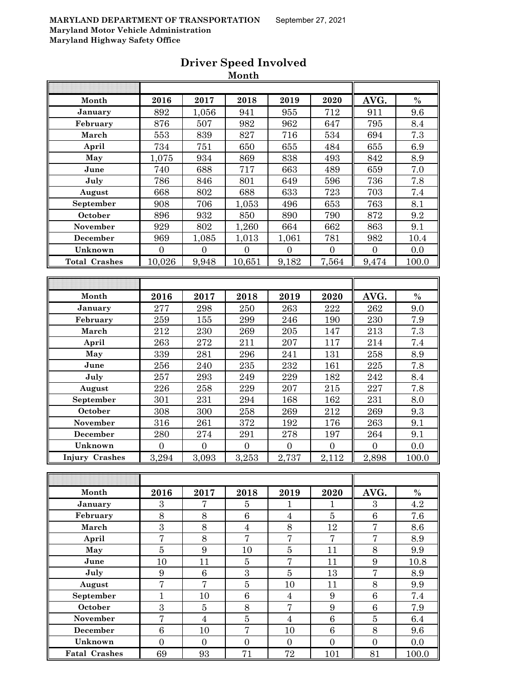|                       |                  |                  | Month            |                  |                  |                  |       |
|-----------------------|------------------|------------------|------------------|------------------|------------------|------------------|-------|
|                       |                  |                  |                  |                  |                  |                  |       |
| Month                 | 2016             | 2017             | 2018             | 2019             | 2020             | AVG.             | $\%$  |
| January               | 892              | 1,056            | 941              | 955              | 712              | 911              | 9.6   |
| February              | 876              | 507              | 982              | 962              | 647              | 795              | 8.4   |
| March                 | 553              | 839              | 827              | 716              | 534              | 694              | 7.3   |
| April                 | 734              | 751              | 650              | 655              | 484              | 655              | 6.9   |
| May                   | 1,075            | 934              | 869              | 838              | 493              | 842              | 8.9   |
| June                  | 740              | 688              | 717              | 663              | 489              | 659              | 7.0   |
| July                  | 786              | 846              | 801              | 649              | 596              | 736              | 7.8   |
| August                | 668              | 802              | 688              | 633              | 723              | 703              | 7.4   |
| September             | 908              | 706              | 1,053            | 496              | 653              | 763              | 8.1   |
| October               | 896              | 932              | 850              | 890              | 790              | 872              | 9.2   |
| November              | 929              | 802              | 1,260            | 664              | 662              | 863              | 9.1   |
| December              | 969              | 1,085            | 1,013            | 1,061            | 781              | 982              | 10.4  |
| Unknown               | $\overline{0}$   | $\overline{0}$   | $\boldsymbol{0}$ | $\boldsymbol{0}$ | $\boldsymbol{0}$ | $\boldsymbol{0}$ | 0.0   |
| <b>Total Crashes</b>  | 10,026           | 9,948            | 10,651           | 9,182            | 7,564            | 9,474            | 100.0 |
|                       |                  |                  |                  |                  |                  |                  |       |
|                       |                  |                  |                  |                  |                  |                  |       |
| Month                 | 2016             | 2017             | 2018             | 2019             | 2020             | AVG.             | $\%$  |
| January               | 277              | 298              | 250              | 263              | 222              | 262              | 9.0   |
| February              | 259              | 155              | 299              | 246              | 190              | 230              | 7.9   |
| March                 | 212              | 230              | ${\bf 269}$      | 205              | 147              | 213              | 7.3   |
| April                 | 263              | 272              | 211              | 207              | 117              | 214              | 7.4   |
| May                   | 339              | 281              | 296              | 241              | 131              | 258              | 8.9   |
| June                  | 256              | 240              | 235              | 232              | 161              | 225              | 7.8   |
| July                  | 257              | 293              | 249              | 229              | 182              | 242              | 8.4   |
| August                | 226              | 258              | 229              | 207              | 215              | 227              | 7.8   |
| September             | 301              | 231              | 294              | 168              | 162              | 231              | 8.0   |
| October               | 308              | 300              | 258              | 269              | 212              | 269              | 9.3   |
| November              | 316              | 261              | 372              | 192              | 176              | 263              | 9.1   |
| December              | 280              | 274              | 291              | 278              | 197              | 264              | 9.1   |
| Unknown               | $\boldsymbol{0}$ | $\boldsymbol{0}$ | $\boldsymbol{0}$ | $\boldsymbol{0}$ | $\boldsymbol{0}$ | $\boldsymbol{0}$ | 0.0   |
| <b>Injury Crashes</b> | 3,294            | 3,093            | 3,253            | 2,737            | 2,112            | 2,898            | 100.0 |
|                       |                  |                  |                  |                  |                  |                  |       |
|                       |                  |                  |                  |                  |                  |                  |       |
| Month                 | 2016             | 2017             | 2018             | 2019             | 2020             | AVG.             | $\%$  |
| January               | 3                | 7                | $\overline{5}$   | $\mathbf{1}$     | $\mathbf{1}$     | $\sqrt{3}$       | 4.2   |
| February              | $8\,$            | $8\,$            | $\,6\,$          | $\overline{4}$   | $\bf 5$          | $\,6\,$          | 7.6   |
| March                 | 3                | 8                | $\overline{4}$   | 8                | 12               | $\overline{7}$   | 8.6   |
| April                 | $\overline{7}$   | $8\,$            | $\overline{7}$   | $\overline{7}$   | $\overline{7}$   | $\overline{7}$   | 8.9   |
| May                   | $\overline{5}$   | $9\phantom{.0}$  | 10               | $\bf 5$          | 11               | 8                | 9.9   |
| June                  | 10               | 11               | $\bf 5$          | $\sqrt{ }$       | 11               | $\boldsymbol{9}$ | 10.8  |

**July** 9 6 6 3 5 13 7 8.9 August | 7 | 7 | 5 | 10 | 11 || 8 | 9.9 **September** 1 10 6 4 9 6 7.4 **October | 3 | 5 | 8 | 7 | 9 || 6 | 7.9 November** 7 4 5 4 6 5 6.4 **December** 6 10 7 10 6 8 9.6 **Unknown** 0 0 0 0 0 0 0.0 **Fatal Crashes** 69 93 71 72 101 81 100.0

# **Driver Speed Involved**

 $\bar{M}$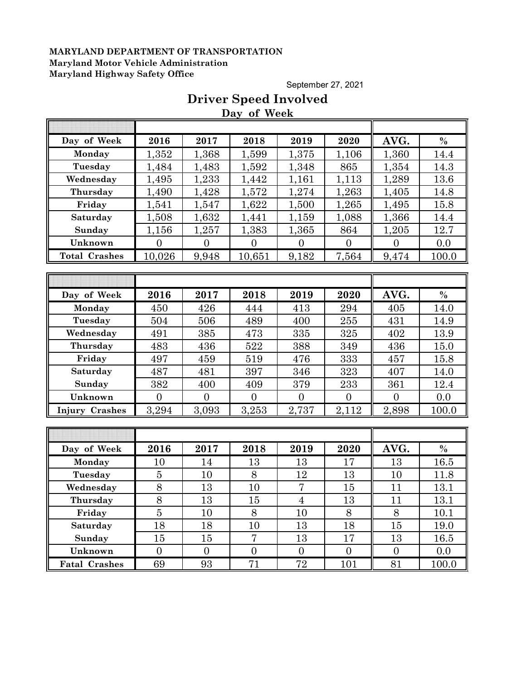September 27, 2021

## **Driver Speed Involved Day of Week**

| Day of Week          | 2016             | 2017           | 2018             | 2019           | 2020           | AVG.           | $\frac{0}{0}$ |
|----------------------|------------------|----------------|------------------|----------------|----------------|----------------|---------------|
| Monday               | 1,352            | 1,368          | 1,599            | 1,375          | 1,106          | 1,360          | 14.4          |
| Tuesday              | 1,484            | 1,483          | 1,592            | 1,348          | 865            | 1,354          | 14.3          |
| Wednesday            | 1,495            | 1,233          | 1,442            | 1,161          | 1,113          | 1,289          | 13.6          |
| Thursday             | 1,490            | 1,428          | 1,572            | 1,274          | 1,263          | 1,405          | 14.8          |
| Friday               | 1,541            | 1,547          | 1,622            | 1,500          | 1,265          | 1,495          | 15.8          |
| Saturday             | 1,508            | 1,632          | 1,441            | 1,159          | 1,088          | 1,366          | 14.4          |
| Sunday               | 1,156            | 1,257          | 1,383            | 1,365          | 864            | 1,205          | 12.7          |
| Unknown              | $\overline{0}$   | $\overline{0}$ | $\overline{0}$   | $\overline{0}$ | $\overline{0}$ | $\overline{0}$ | 0.0           |
| <b>Total Crashes</b> | 10,026           | 9,948          | 10,651           | 9,182          | 7,564          | 9,474          | 100.0         |
|                      |                  |                |                  |                |                |                |               |
|                      |                  |                |                  |                |                |                |               |
| Day of Week          | 2016             | 2017           | 2018             | 2019           | 2020           | AVG.           | $\frac{0}{0}$ |
| Monday               | 450              | 426            | 444              | 413            | 294            | 405            | 14.0          |
| Tuesday              | 504              | 506            | 489              | 400            | 255            | 431            | 14.9          |
| Wednesday            | 491              | 385            | 473              | 335            | 325            | 402            | 13.9          |
| Thursday             | 483              | 436            | 522              | 388            | 349            | 436            | 15.0          |
| Friday               | 497              | 459            | 519              | 476            | 333            | 457            | 15.8          |
| Saturday             | 487              | 481            | 397              | 346            | 323            | 407            | 14.0          |
| Sunday               | 382              | 400            | 409              | 379            | 233            | 361            | 12.4          |
| Unknown              | $\overline{0}$   | $\overline{0}$ | $\overline{0}$   | $\overline{0}$ | $\overline{0}$ | $\overline{0}$ | 0.0           |
| Injury Crashes       | 3,294            | 3,093          | 3,253            | 2,737          | 2,112          | 2,898          | 100.0         |
|                      |                  |                |                  |                |                |                |               |
|                      |                  |                |                  |                |                |                |               |
| Day of Week          | 2016             | 2017           | 2018             | 2019           | 2020           | AVG.           | $\frac{0}{0}$ |
| Monday               | 10               | 14             | 13               | 13             | 17             | 13             | 16.5          |
| Tuesday              | $\overline{5}$   | 10             | 8                | 12             | 13             | 10             | 11.8          |
| Wednesday            | 8                | 13             | 10               | 7              | 15             | 11             | 13.1          |
| Thursday             | 8                | 13             | 15               | $\overline{4}$ | 13             | 11             | 13.1          |
| Friday               | $\overline{5}$   | 10             | $8\,$            | 10             | $8\,$          | 8              | 10.1          |
| Saturday             | 18               | 18             | 10               | 13             | 18             | $15\,$         | 19.0          |
| Sunday               | 15               | 15             | $\overline{7}$   | 13             | 17             | $13\,$         | 16.5          |
| Unknown              | $\boldsymbol{0}$ | $\overline{0}$ | $\boldsymbol{0}$ | $\overline{0}$ | $\overline{0}$ | $\overline{0}$ | 0.0           |
| <b>Fatal Crashes</b> | 69               | 93             | 71               | 72             | 101            | 81             | <u>100.0</u>  |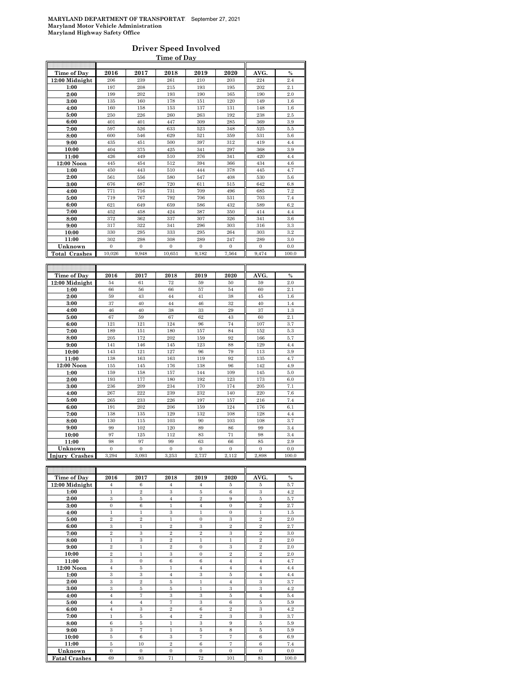#### **Driver Speed Involved Time of Day**

| Time of Dav               | 2016                    | 2017                    | 2018                    | 2019                    | 2020                  | AVG.                    | $\frac{0}{0}$ |
|---------------------------|-------------------------|-------------------------|-------------------------|-------------------------|-----------------------|-------------------------|---------------|
| 12:00 Midnight            | 206                     | 239                     | 261                     | 210                     | 203                   | 224                     | 2.4           |
| 1:00                      | 197                     | 208                     | 215                     | 193                     | 195                   | 202                     | 2.1           |
| 2:00                      | 199                     | 202                     | 193                     | 190                     | 165                   | 190                     | 2.0           |
| 3:00                      | 135                     | 160                     | 178                     | 151                     | 120                   | 149                     | 1.6           |
| 4:00                      | 160                     | 158                     | 153                     | 137                     | 131                   | 148                     | 1.6           |
| 5:00                      | 250                     | 226                     | 260                     | 263                     | 192                   | 238                     | 2.5           |
| 6:00                      | 401                     | 401                     | 447                     | 309                     | 285                   | 369                     | 3.9           |
| 7:00                      | 597                     | 526                     | 633                     | 523                     | 348                   | 525                     | 5.5           |
| 8:00                      | 600                     | 546                     | 629                     | 521                     | 359                   | 531                     | 5.6           |
| 9:00                      | 435                     | 451                     | 500                     | 397                     | 312                   | 419                     | 4.4           |
| 10:00                     | 404                     | 375                     | 425                     | 341                     | 297                   | 368                     | 3.9           |
| 11:00                     | 426                     | 449                     | 510                     | 376                     | 341                   | 420                     | 4.4           |
| 12:00 Noon                | 445                     | 454                     | 512                     | 394                     | 366                   | 434                     | 4.6           |
| 1:00                      | 450                     | 443                     | 510                     | 444                     | 378                   | 445                     | 4.7           |
| 2:00                      | 561                     | 556                     | 580                     | 547                     | 408                   | 530                     | 5.6           |
| 3:00                      | 676                     | 687                     | 720                     | 611                     | 515                   | 642                     | 6.8           |
| 4:00                      | 771                     | 716                     | 731                     | 709                     | 496                   | 685                     | 7.2           |
| 5:00                      | 719                     | 767                     | 792                     | 706                     | 531                   | 703                     | 7.4           |
| 6:00                      | 621                     | 649                     | 659                     | 586                     | 432                   | 589                     | 6.2           |
| 7:00                      | 452                     | 458                     | 424                     | 387                     | 350                   | 414                     | 4.4           |
| 8:00                      | 372                     | 362                     | 337                     | 307                     | 326                   | 341                     | 3.6           |
| 9:00                      | 317                     | 322                     | 341                     | 296                     | 303                   | 316                     | 3.3           |
| 10:00                     | 330                     | 295                     | 333                     | 295                     | 264                   | 303                     | 3.2           |
| 11:00                     | 302                     | 298                     | 308                     | 289                     | 247                   | 289                     | 3.0           |
| Unknown                   | $\boldsymbol{0}$        | $\boldsymbol{0}$        | $\overline{0}$          | $\boldsymbol{0}$        | $\bf{0}$              | $\mathbf{0}$            | 0.0           |
| <b>Total Crashes</b>      | 10,026                  | 9,948                   | 10,651                  | 9,182                   | 7,564                 | 9,474                   | 100.0         |
|                           |                         |                         |                         |                         |                       |                         |               |
|                           |                         |                         |                         |                         |                       |                         |               |
|                           |                         |                         |                         |                         |                       |                         |               |
| Time of Day               | 2016<br>54              | 2017<br>61              | 2018<br>72              | 2019<br>59              | 2020<br>50            | AVG.<br>59              | $\%$<br>2.0   |
| 12:00 Midnight<br>1:00    | 66                      | 56                      | 66                      | 57                      | 54                    | 60                      | 2.1           |
|                           | 59                      | 43                      | 44                      | 41                      | 38                    | 45                      | 1.6           |
| 2:00<br>3:00              | 37                      | 40                      | 44                      | 46                      | 32                    | 40                      | 1.4           |
| 4:00                      | 46                      | 40                      | 38                      | 33                      | 29                    | 37                      | 1.3           |
| 5:00                      | 67                      | 59                      | 67                      | 62                      | 43                    | 60                      | 2.1           |
| 6:00                      | 121                     | 121                     | 124                     | 96                      | 74                    | 107                     | 3.7           |
| 7:00                      | 189                     | 151                     | 180                     | 157                     | 84                    | 152                     | 5.3           |
| 8:00                      | 205                     | 172                     | 202                     | 159                     | 92                    | 166                     | 5.7           |
| 9:00                      | 141                     | 146                     | 145                     | 123                     | 88                    | 129                     | 4.4           |
| 10:00                     | 143                     | 121                     | 127                     | 96                      | 79                    | 113                     | 3.9           |
| 11:00                     | 138                     | 163                     | 163                     | 119                     | 92                    | 135                     | 4.7           |
| 12:00 Noon                | 155                     | 145                     | 176                     | 138                     | 96                    | 142                     | 4.9           |
| 1:00                      | 159                     | 158                     | 157                     | 144                     | 109                   | 145                     | 5.0           |
| 2:00                      | 193                     | 177                     | 180                     | 192                     | 123                   | 173                     | 6.0           |
| 3:00                      | 236                     | 209                     | 234                     | 170                     | 174                   | 205                     | 7.1           |
| 4:00                      | 267                     | 222                     | 239                     | 232                     | 140                   | 220                     | 7.6           |
| 5:00                      | 265                     | 233                     | 226                     | 197                     | 157                   | 216                     | 7.4           |
| 6:00                      | 191                     | 202                     | 206                     | 159                     | 124                   | 176                     | 6.1           |
| 7:00                      | 138                     | 135                     | 129                     | 132                     | 108                   | 128                     | 4.4           |
| 8:00                      | 130                     | 115                     | 103                     | 90                      | 103                   | 108                     | 3.7           |
| 9:00                      | 99                      | 102                     | 120                     | 89                      | 86                    | 99                      | 3.4           |
| 10:00                     | 97                      | 125                     | 112                     | 83                      | 71                    | 98                      | 3.4           |
| 11:00                     | 98                      | 97                      | 99                      | 63                      | 66                    | 85                      | 2.9           |
| Unknown<br>Injury Crashes | $\overline{0}$<br>3,294 | $\overline{0}$<br>3,093 | $\overline{0}$<br>3,253 | $\overline{0}$<br>2,737 | $\mathbf{0}$<br>2,112 | $\overline{0}$<br>2,898 | 0.0<br>100.0  |

| <b>Time of Day</b>   | 2016           | 2017           | 2018           | 2019           | 2020           | AVG.           | $\%$  |
|----------------------|----------------|----------------|----------------|----------------|----------------|----------------|-------|
| 12:00 Midnight       | $\overline{4}$ | 6              | $\overline{4}$ | $\overline{4}$ | 5              | 5              | 5.7   |
| 1:00                 | $\mathbf{1}$   | $\overline{2}$ | 3              | 5              | 6              | 3              | 4.2   |
| 2:00                 | 3              | 5              | $\overline{4}$ | $\overline{2}$ | 9              | 5              | 5.7   |
| 3:00                 | $\mathbf{0}$   | 6              | $\mathbf{1}$   | $\overline{4}$ | $\mathbf{0}$   | $\overline{2}$ | 2.7   |
| 4:00                 | $\mathbf{1}$   | $\mathbf{1}$   | 3              | $\mathbf{1}$   | $\mathbf{0}$   | $\mathbf{1}$   | 1.5   |
| 5:00                 | $\overline{2}$ | $\overline{2}$ | $\mathbf{1}$   | $\Omega$       | 3              | $\overline{2}$ | 2.0   |
| 6:00                 | 3              | $\mathbf{1}$   | $\overline{2}$ | 3              | $\overline{2}$ | $\overline{2}$ | 2.7   |
| 7:00                 | $\overline{2}$ | 3              | $\overline{2}$ | $\overline{2}$ | 3              | $\overline{2}$ | 3.0   |
| 8:00                 | $\mathbf{1}$   | 3              | $\overline{2}$ | $\mathbf{1}$   | $\mathbf{1}$   | $\overline{2}$ | 2.0   |
| 9:00                 | $\overline{2}$ | $\mathbf{1}$   | $\overline{2}$ | $\mathbf{0}$   | 3              | $\overline{2}$ | 2.0   |
| 10:00                | $\overline{2}$ | 1              | 3              | $\mathbf{0}$   | $\overline{2}$ | $\overline{2}$ | 2.0   |
| 11:00                | 3              | $\mathbf{0}$   | 6              | 6              | $\overline{4}$ | $\overline{4}$ | 4.7   |
| $12:00$ Noon         | $\overline{4}$ | 5              | 1              | $\overline{4}$ | $\overline{4}$ | $\overline{4}$ | 4.4   |
| 1:00                 | 3              | 3              | $\overline{4}$ | 3              | 5              | $\overline{4}$ | 4.4   |
| 2:00                 | 3              | $\overline{2}$ | 5              | $\mathbf{1}$   | $\overline{4}$ | 3              | 3.7   |
| 3:00                 | 3              | 5              | 5              | $\mathbf{1}$   | 3              | 3              | 4.2   |
| 4:00                 | $\overline{4}$ | 7              | 3              | 3              | 5              | $\overline{4}$ | 5.4   |
| 5:00                 | $\overline{4}$ | $\overline{4}$ | 7              | 3              | 6              | 5              | 5.9   |
| 6:00                 | $\overline{4}$ | 3              | $\overline{2}$ | 6              | $\overline{2}$ | 3              | 4.2   |
| 7:00                 | $\mathbf{1}$   | 5              | $\overline{4}$ | $\overline{2}$ | 3              | 3              | 3.7   |
| 8:00                 | 6              | 5              | $\mathbf{1}$   | 3              | 9              | 5              | 5.9   |
| 9:00                 | 3              | 7              | 1              | 5              | 8              | 5              | 5.9   |
| 10:00                | 5              | 6              | 3              | $\overline{7}$ | 7              | 6              | 6.9   |
| 11:00                | 5              | 10             | $\overline{2}$ | 6              | 7              | 6              | 7.4   |
| Unknown              | $\mathbf{0}$   | $\Omega$       | $\mathbf{0}$   | $\mathbf{0}$   | $\mathbf{0}$   | $\mathbf{0}$   | 0.0   |
| <b>Fatal Crashes</b> | 69             | 93             | 71             | 72             | 101            | 81             | 100.0 |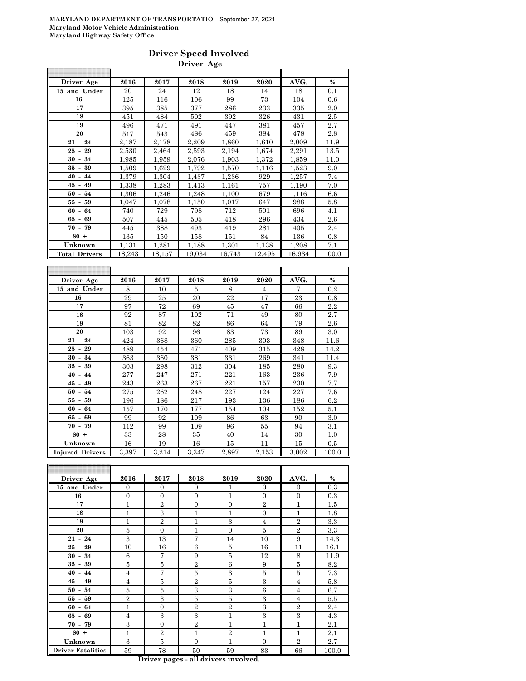#### **Driver Speed Involved Driver Age**

| Driver Age           | 2016   | 2017   | 2018   | 2019   | 2020   | AVG.   | $\%$  |
|----------------------|--------|--------|--------|--------|--------|--------|-------|
| 15 and Under         | 20     | 24     | 12     | 18     | 14     | 18     | 0.1   |
| 16                   | 125    | 116    | 106    | 99     | 73     | 104    | 0.6   |
| 17                   | 395    | 385    | 377    | 286    | 233    | 335    | 2.0   |
| 18                   | 451    | 484    | 502    | 392    | 326    | 431    | 2.5   |
| 19                   | 496    | 471    | 491    | 447    | 381    | 457    | 2.7   |
| 20                   | 517    | 543    | 486    | 459    | 384    | 478    | 2.8   |
| $21 - 24$            | 2,187  | 2,178  | 2,209  | 1,860  | 1,610  | 2,009  | 11.9  |
| $25 - 29$            | 2,530  | 2,464  | 2.593  | 2,194  | 1,674  | 2.291  | 13.5  |
| $30 - 34$            | 1,985  | 1,959  | 2,076  | 1,903  | 1,372  | 1,859  | 11.0  |
| $35 - 39$            | 1,509  | 1,629  | 1,792  | 1,570  | 1,116  | 1,523  | 9.0   |
| $40 -$<br>44         | 1,379  | 1,304  | 1,437  | 1,236  | 929    | 1,257  | 7.4   |
| $45 -$<br>49         | 1,338  | 1,283  | 1,413  | 1,161  | 757    | 1,190  | 7.0   |
| $50 -$<br>54         | 1,306  | 1,246  | 1,248  | 1,100  | 679    | 1.116  | 6.6   |
| $55 - 59$            | 1,047  | 1,078  | 1,150  | 1,017  | 647    | 988    | 5.8   |
| $60 - 64$            | 740    | 729    | 798    | 712    | 501    | 696    | 4.1   |
| $65 - 69$            | 507    | 445    | 505    | 418    | 296    | 434    | 2.6   |
| $70 - 79$            | 445    | 388    | 493    | 419    | 281    | 405    | 2.4   |
| $80 +$               | 135    | 150    | 158    | 151    | 84     | 136    | 0.8   |
| Unknown              | 1,131  | 1,281  | 1,188  | 1,301  | 1,138  | 1,208  | 7.1   |
| <b>Total Drivers</b> | 18,243 | 18,157 | 19,034 | 16,743 | 12,495 | 16,934 | 100.0 |
|                      |        |        |        |        |        |        |       |
|                      |        |        |        |        |        |        |       |
| Driver Age           | 2016   | 2017   | 2018   | 2019   | 2020   | AVG.   | $\%$  |
| 15 and Under         | 8      | 10     | 5      | 8      | 4      | 7      | 0.2   |
| 16                   | 29     | 25     | 20     | 22     | 17     | 23     | 0.8   |
| 17                   | 97     | 72     | 69     | 45     | 47     | 66     | 2.2   |
| 18                   | 92     | 87     | 102    | 71     | 49     | 80     | 2.7   |
| 19                   | 81     | 82     | 82     | 86     | 64     | 79     | 2.6   |
| 20                   | 103    | 92     | 96     | 83     | 73     | 89     | 3.0   |
| $21 - 24$            | 424    | 368    | 360    | 285    | 303    | 348    | 11.6  |
| 29<br>$25 -$         | 489    | 454    | 471    | 409    | 315    | 428    | 14.2  |
| $30 - 34$            | 363    | 360    | 381    | 331    | 269    | 341    | 11.4  |
| $35 - 39$            | 303    | 298    | 312    | 304    | 185    | 280    | 9.3   |
| $40 - 44$            | 277    | 247    | 271    | 221    | 163    | 236    | 7.9   |
| $45 - 49$            | 243    | 263    | 267    | 221    | 157    | 230    | 7.7   |
| $50 - 54$            | 275    | 262    | 248    | 227    | 124    | 227    | 7.6   |
|                      |        | $\sim$ |        |        |        |        |       |

| $40 - 44$              | 277   | 247   | 271   | 221   | 163   | 236   | 7.9   |
|------------------------|-------|-------|-------|-------|-------|-------|-------|
| $45 - 49$              | 243   | 263   | 267   | 221   | 157   | 230   | 7.7   |
| $50 - 54$              | 275   | 262   | 248   | 227   | 124   | 227   | 7.6   |
| $55 - 59$              | 196   | 186   | 217   | 193   | 136   | 186   | 6.2   |
| $60 - 64$              | 157   | 170   | 177   | 154   | 104   | 152   | 5.1   |
| $65 - 69$              | 99    | 92    | 109   | 86    | 63    | 90    | 3.0   |
| $70 - 79$              | 112   | 99    | 109   | 96    | 55    | 94    | 3.1   |
| $80 +$                 | 33    | 28    | 35    | 40    | 14    | 30    | 1.0   |
| Unknown                | 16    | 19    | 16    | 15    | 11    | 15    | 0.5   |
| <b>Injured Drivers</b> | 3,397 | 3,214 | 3,347 | 2,897 | 2,153 | 3,002 | 100.0 |

 $\overline{a}$ 

| Driver Age               | 2016           | 2017           | 2018           | 2019           | 2020           | AVG.           | $\%$  |
|--------------------------|----------------|----------------|----------------|----------------|----------------|----------------|-------|
| 15 and Under             | $\Omega$       | $\Omega$       | $\Omega$       | 1              | $\Omega$       | $\Omega$       | 0.3   |
| 16                       | $\overline{0}$ | $\overline{0}$ | $\Omega$       | 1              | $\Omega$       | $\overline{0}$ | 0.3   |
| 17                       | 1              | $\overline{2}$ | $\overline{0}$ | $\overline{0}$ | $\overline{2}$ | 1              | 1.5   |
| 18                       | 1              | 3              | $\mathbf{1}$   | 1              | $\mathbf{0}$   | 1              | 1.8   |
| 19                       | 1              | $\overline{2}$ | $\mathbf{1}$   | 3              | 4              | $\overline{2}$ | 3.3   |
| 20                       | 5              | $\Omega$       | $\mathbf{1}$   | $\Omega$       | 5              | $\overline{2}$ | 3.3   |
| $21 - 24$                | 3              | 13             | $\overline{7}$ | 14             | 10             | 9              | 14.3  |
| $25 - 29$                | 10             | 16             | 6              | 5              | 16             | 11             | 16.1  |
| $30 - 34$                | 6              | 7              | 9              | 5              | 12             | 8              | 11.9  |
| $35 - 39$                | 5              | 5              | $\overline{2}$ | 6              | 9              | 5              | 8.2   |
| $40 - 44$                | $\overline{4}$ | 7              | 5              | 3              | 5              | $\overline{5}$ | 7.3   |
| $45 - 49$                | $\overline{4}$ | 5              | $\overline{2}$ | 5              | 3              | $\overline{4}$ | 5.8   |
| $50 - 54$                | 5              | 5              | 3              | 3              | 6              | $\overline{4}$ | 6.7   |
| $55 - 59$                | $\overline{2}$ | 3              | 5              | 5              | 3              | $\overline{4}$ | 5.5   |
| $60 - 64$                | 1              | $\overline{0}$ | $\overline{2}$ | $\overline{2}$ | 3              | $\overline{2}$ | 2.4   |
| $65 - 69$                | $\overline{4}$ | 3              | 3              | 1              | 3              | 3              | 4.3   |
| $70 - 79$                | 3              | $\overline{0}$ | $\overline{2}$ | 1              | 1              | 1              | 2.1   |
| $80 +$                   | $\mathbf{1}$   | $\overline{2}$ | $\mathbf{1}$   | $\overline{2}$ | 1              | 1              | 2.1   |
| Unknown                  | 3              | $\overline{5}$ | $\Omega$       | 1              | $\Omega$       | $\overline{2}$ | 2.7   |
| <b>Driver Fatalities</b> | 59             | 78             | 50             | 59             | 83             | 66             | 100.0 |

**Driver pages - all drivers involved.**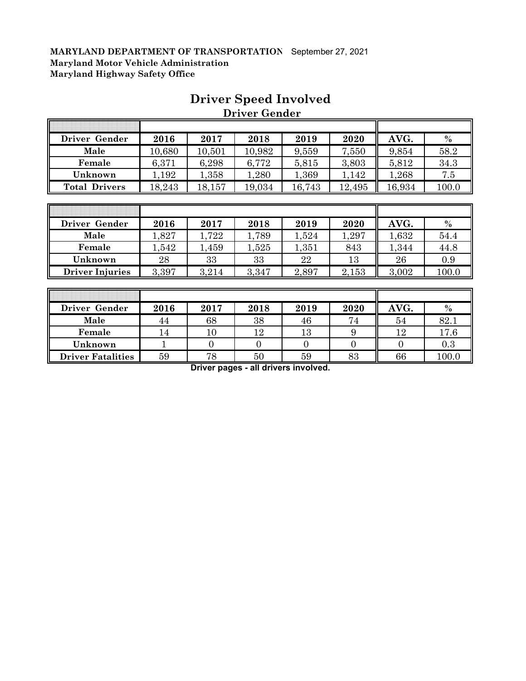| Driver Gender        | 2016         | 2017   | 2018   | 2019   | 2020   | AVG.   | $\frac{0}{0}$ |
|----------------------|--------------|--------|--------|--------|--------|--------|---------------|
| Male                 | 10,680       | 10,501 | 10,982 | 9,559  | 7,550  | 9,854  | 58.2          |
| Female               | 6,371        | 6,298  | 6,772  | 5,815  | 3,803  | 5,812  | 34.3          |
| Unknown              | 1,192        | 1,358  | 1,280  | 1,369  | 1,142  | 1,268  | 7.5           |
| <b>Total Drivers</b> | 18,243       | 18,157 | 19,034 | 16,743 | 12,495 | 16,934 | 100.0         |
|                      |              |        |        |        |        |        |               |
|                      |              |        |        |        |        |        |               |
| Driver Gender        | 2016         | 2017   | 2018   | 2019   | 2020   | AVG.   | $\frac{0}{0}$ |
|                      | . <b>. .</b> | .      | .      | .      | .      | .      | __            |

### **Driver Speed Involved Driver Gender**

 $\overline{\mathbf{a}}$ 

| <b>Driver</b><br>Gender | 2016  | 2017  | 2018  | 2019  | 2020  | AVG.  | $\%$  |
|-------------------------|-------|-------|-------|-------|-------|-------|-------|
| Male                    | ,827  | .722  | ,789  | 1,524 | ,297  | 1,632 | 54.4  |
| Female                  | ,542  | 1,459 | ,525  | 1,351 | 843   | 1,344 | 44.8  |
| Unknown                 | 28    | 33    | 33    | 22    | 13    | 26    | 0.9   |
| <b>Driver Injuries</b>  | 3,397 | 3,214 | 3,347 | 2,897 | 2,153 | 3,002 | 100.0 |

| Driver Gender            | 2016 | 2017 | 2018 | 2019 | 2020 | AVG. | $\frac{0}{0}$ |
|--------------------------|------|------|------|------|------|------|---------------|
| Male                     | 44   | 68   | 38   | 46   | 74   | 54   | 82.1          |
| Female                   | 14   | 10   | 12   | 13   |      | 12   | 17.6          |
| Unknown                  |      |      |      |      |      |      | 0.3           |
| <b>Driver Fatalities</b> | 59   | 78   | 50   | 59   | 83   | 66   | 100.0         |

**Driver pages - all drivers involved.**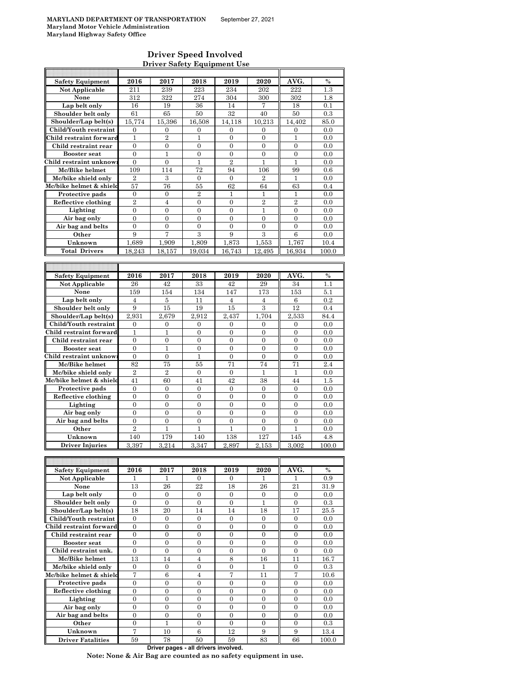$\overline{\phantom{a}}$ 

#### **Driver Speed Involved Driver Safety Equipment Use**

| <b>Safety Equipment</b>             | 2016             | 2017             | 2018             | 2019             | 2020             | AVG.             | $\%$          |
|-------------------------------------|------------------|------------------|------------------|------------------|------------------|------------------|---------------|
| Not Applicable                      | 211              | 239              | 223              | 234              | 202              | 222              | $1.3\,$       |
| None                                | 312              | 322              | 274              | 304              | 300              | 302              | 1.8           |
| Lap belt only                       | 16               | 19               | 36               | 14               | 7                | 18               | 0.1           |
| Shoulder belt only                  | 61               | 65               | 50               | 32               | 40               | 50               | 0.3           |
| Shoulder/Lap belt(s)                | 15,774           | 15,396           | 16,508           | 14,118           | 10,213           | 14,402           | 85.0          |
| Child/Youth restraint               | $\mathbf{0}$     | $\mathbf{0}$     | $\mathbf{0}$     | $\overline{0}$   | $\Omega$         | $\overline{0}$   | 0.0           |
| Child restraint forward             | 1                | $\overline{2}$   | 1                | 0                | 0                | 1                | 0.0           |
| Child restraint rear                | $\boldsymbol{0}$ | 0                | $\boldsymbol{0}$ | $\overline{0}$   | 0                | $\overline{0}$   | 0.0           |
| <b>Booster seat</b>                 | $\mathbf{0}$     | 1                | $\overline{0}$   | $\mathbf{0}$     | $\overline{0}$   | $\boldsymbol{0}$ | 0.0           |
| Child restraint unknow              | $\boldsymbol{0}$ | $\boldsymbol{0}$ | $\mathbf{1}$     | $\overline{2}$   | $\mathbf{1}$     | $\mathbf{1}$     | 0.0           |
| Mc/Bike helmet                      | 109              | 114              | 72               | 94               | 106              | 99               | 0.6           |
| Mc/bike shield only                 | $\overline{2}$   | 3                | $\boldsymbol{0}$ | 0                | $\overline{2}$   | 1                | 0.0           |
| Mc/bike helmet & shield             | 57               | 76               | 55               | 62               | 64               | 63               | 0.4           |
| Protective pads                     | $\mathbf{0}$     | $\mathbf{0}$     | $\overline{2}$   | $\mathbf{1}$     | $\mathbf{1}$     | $\mathbf{1}$     | 0.0           |
| Reflective clothing                 | $\overline{2}$   | 4                | $\boldsymbol{0}$ | 0                | $\overline{2}$   | $\overline{2}$   | 0.0           |
| Lighting                            | $\boldsymbol{0}$ | $\overline{0}$   | $\overline{0}$   | $\overline{0}$   | 1                | $\boldsymbol{0}$ | 0.0           |
| Air bag only                        | $\boldsymbol{0}$ | $\boldsymbol{0}$ | $\boldsymbol{0}$ | $\boldsymbol{0}$ | $\boldsymbol{0}$ | $\overline{0}$   | 0.0           |
| Air bag and belts                   | $\overline{0}$   | $\overline{0}$   | $\overline{0}$   | $\overline{0}$   | $\overline{0}$   | $\overline{0}$   | 0.0           |
| Other                               | 9                | 7                | 3                | 9                | 3                | 6                | 0.0           |
| Unknown                             | 1,689            | 1,909            | 1,809            | 1,873            | 1,553            | 1,767            | 10.4          |
| <b>Total Drivers</b>                | 18,243           | 18.157           | 19,034           | 16,743           | 12.495           | 16.934           | 100.0         |
|                                     |                  |                  |                  |                  |                  |                  |               |
|                                     |                  |                  |                  |                  |                  |                  |               |
| <b>Safety Equipment</b>             | 2016             | 2017             | 2018             | 2019             | 2020             | AVG.             | %             |
| <b>Not Applicable</b>               | 26               | 42               | 33               | 42               | 29               | 34               | 1.1           |
| None                                | 159              | 154              | 134              | 147              | 173              | 153              | 5.1           |
| Lap belt only                       | $\overline{4}$   | 5                | 11               | $\overline{4}$   | $\overline{4}$   | $\,6$            | 0.2           |
| Shoulder belt only                  | 9                | 15               | 19               | 15               | 3                | 12               | 0.4           |
| Shoulder/Lap belt(s)                | 2,931            | 2,679            | 2,912            | 2,437            | 1,704            | 2,533            | 84.4          |
| Child/Youth restraint               | $\mathbf{0}$     | $\boldsymbol{0}$ | $\overline{0}$   | $\boldsymbol{0}$ | $\overline{0}$   | $\boldsymbol{0}$ | 0.0           |
| Child restraint forward             | 1                | 1                | $\boldsymbol{0}$ | 0                | $\boldsymbol{0}$ | $\boldsymbol{0}$ | 0.0           |
| Child restraint rear                | $\mathbf{0}$     | $\mathbf{0}$     | $\overline{0}$   | $\overline{0}$   | $\overline{0}$   | $\mathbf{0}$     | 0.0           |
| <b>Booster</b> seat                 | $\mathbf{0}$     | 1                | $\boldsymbol{0}$ | $\boldsymbol{0}$ | $\boldsymbol{0}$ | $\boldsymbol{0}$ | 0.0           |
| Child restraint unknow:             | $\mathbf{0}$     | $\overline{0}$   | $\mathbf{1}$     | $\overline{0}$   | 0                | $\overline{0}$   | 0.0           |
| Mc/Bike helmet                      | 82               | 75               | 55               | 71               | 74               | 71               | 2.4           |
| Mc/bike shield only                 | $\overline{2}$   | $\overline{2}$   | $\boldsymbol{0}$ | $\boldsymbol{0}$ | 1                | 1                | 0.0           |
|                                     |                  |                  |                  |                  |                  |                  |               |
|                                     |                  |                  |                  |                  |                  |                  |               |
| Mc/bike helmet & shielc             | 41               | 60               | 41               | 42               | 38               | 44               | 1.5           |
| Protective pads                     | $\boldsymbol{0}$ | $\boldsymbol{0}$ | 0                | 0                | 0                | $\mathbf{0}$     | 0.0           |
| Reflective clothing                 | $\overline{0}$   | $\overline{0}$   | $\overline{0}$   | $\overline{0}$   | $\overline{0}$   | $\boldsymbol{0}$ | 0.0           |
| Lighting                            | $\boldsymbol{0}$ | $\boldsymbol{0}$ | $\boldsymbol{0}$ | $\boldsymbol{0}$ | $\boldsymbol{0}$ | $\mathbf{0}$     | 0.0           |
| Air bag only                        | $\overline{0}$   | $\overline{0}$   | $\overline{0}$   | $\overline{0}$   | $\overline{0}$   | $\overline{0}$   | 0.0           |
| Air bag and belts                   | $\boldsymbol{0}$ | $\boldsymbol{0}$ | $\boldsymbol{0}$ | $\boldsymbol{0}$ | $\boldsymbol{0}$ | $\boldsymbol{0}$ | 0.0           |
| Other                               | $\overline{2}$   | 1                | $\mathbf{1}$     | $\mathbf{1}$     | $\overline{0}$   | $\mathbf{1}$     | 0.0           |
| Unknown                             | 140              | 179              | 140              | 138              | 127              | 145              | 4.8           |
| <b>Driver Injuries</b>              | 3.397            | 3,214            | 3,347            | 2,897            | 2,153            | 3,002            | 100.0         |
|                                     |                  |                  |                  |                  |                  |                  |               |
|                                     |                  |                  |                  |                  |                  |                  |               |
| <b>Safety Equipment</b>             | 2016             | 2017             | 2018             | 2019             | 2020             | AVG.             | $\%$          |
| Not Applicable                      | 1                | 1.               | 0                | 0                | ı.               | 1                | 0.9           |
| None                                | 13               | 26               | 22               | 18               | 26               | 21               | 31.9          |
| Lap belt only                       | $\boldsymbol{0}$ | $\boldsymbol{0}$ | $\boldsymbol{0}$ | $\boldsymbol{0}$ | 0                | $\mathbf{0}$     | 0.0           |
| Shoulder belt only                  | $\boldsymbol{0}$ | $\mathbf{0}$     | $\boldsymbol{0}$ | $\boldsymbol{0}$ | $\mathbf{1}$     | $\boldsymbol{0}$ | 0.3           |
| Shoulder/Lap belt(s)                | 18               | 20               | 14               | 14               | 18               | 17               | 25.5          |
| Child/Youth restraint               | $\boldsymbol{0}$ | $\mathbf{0}$     | 0                | 0                | $\boldsymbol{0}$ | $\boldsymbol{0}$ | 0.0           |
| Child restraint forward             | $\mathbf{0}$     | $\boldsymbol{0}$ | $\mathbf{0}$     | $\mathbf{0}$     | $\overline{0}$   | $\boldsymbol{0}$ | 0.0           |
| Child restraint rear                | $\overline{0}$   | $\mathbf{0}$     | $\overline{0}$   | $\overline{0}$   | $\overline{0}$   | $\boldsymbol{0}$ | 0.0           |
| <b>Booster seat</b>                 | $\boldsymbol{0}$ | 0                | 0                | $\boldsymbol{0}$ | 0                | $\boldsymbol{0}$ | 0.0           |
| Child restraint unk.                | $\boldsymbol{0}$ | $\boldsymbol{0}$ | $\boldsymbol{0}$ | $\boldsymbol{0}$ | $\boldsymbol{0}$ | $\boldsymbol{0}$ | 0.0           |
| Mc/Bike helmet                      | 13               | 14               | 4                | 8                | 16               | 11               | 16.7          |
| Mc/bike shield only                 | $\mathbf{0}$     | $\mathbf{0}$     | $\overline{0}$   | $\overline{0}$   | 1                | $\boldsymbol{0}$ | 0.3           |
| Mc/bike helmet & shield             | 7                | 6                | 4                | 7                | 11               | 7                | 10.6          |
| Protective pads                     | $\boldsymbol{0}$ | $\overline{0}$   | $\overline{0}$   | $\boldsymbol{0}$ | $\boldsymbol{0}$ | $\boldsymbol{0}$ | 0.0           |
| Reflective clothing                 | $\boldsymbol{0}$ | $\boldsymbol{0}$ | 0                | 0                | $\boldsymbol{0}$ | $\boldsymbol{0}$ | 0.0           |
| Lighting                            | $\overline{0}$   | $\overline{0}$   | $\overline{0}$   | $\overline{0}$   | $\overline{0}$   | $\overline{0}$   | 0.0           |
| Air bag only                        | $\boldsymbol{0}$ | 0                | $\boldsymbol{0}$ | $\boldsymbol{0}$ | 0                | $\boldsymbol{0}$ | 0.0           |
| Air bag and belts                   | $\boldsymbol{0}$ | $\boldsymbol{0}$ | $\boldsymbol{0}$ | $\boldsymbol{0}$ | $\overline{0}$   | $\boldsymbol{0}$ | 0.0           |
| Other                               | $\boldsymbol{0}$ | $\mathbf{1}$     | $\boldsymbol{0}$ | $\boldsymbol{0}$ | $\boldsymbol{0}$ | $\boldsymbol{0}$ | 0.3           |
| Unknown<br><b>Driver Fatalities</b> | 7<br>59          | 10<br>78         | 6<br>50          | 12<br>59         | 9<br>83          | 9<br>66          | 13.4<br>100.0 |

**Driver pages - all drivers involved.**

**Note: None & Air Bag are counted as no safety equipment in use.**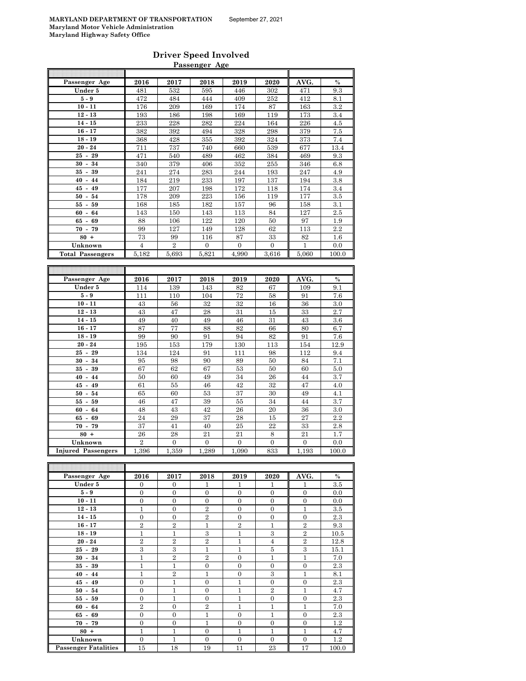# **Driver Speed Involved**

|                           |                  |                  | Passenger Age    |                  |                  |                  |            |
|---------------------------|------------------|------------------|------------------|------------------|------------------|------------------|------------|
|                           |                  |                  |                  |                  |                  |                  |            |
| Passenger Age             | 2016             | 2017             | 2018             | 2019             | 2020             | AVG.             | $\%$       |
| Under 5                   | 481              | 532              | 595              | 446              | 302              | 471              | 9.3        |
| $5-9$                     | 472              | 484              | 444              | 409              | 252              | 412              | 8.1        |
| $10 - 11$                 | 176              | 209              | 169              | 174              | 87               | 163              | $3.2\,$    |
| $12 - 13$                 | 193              | 186              | 198              | 169              | 119              | 173              | 3.4        |
| $14 - 15$                 | 233              | 228              | 282              | 224              | 164              | 226              | 4.5        |
| $16 - 17$                 | 382              | 392              | 494              | 328              | 298              | 379              | 7.5        |
| $18 - 19$                 | 368              | 428              | 355              | 392              | 324              | 373              | 7.4        |
| $20 - 24$                 | 711              | 737              | 740              | 660              | 539              | 677              | 13.4       |
| $25 - 29$                 | 471              | 540              | 489              | 462              | 384              | 469              | 9.3        |
| $30 - 34$                 | 340              | 379              | 406              | 352              | 255              | 346              | 6.8        |
| $35 - 39$                 | 241              | 274              | 283              | 244              | 193              | 247              | 4.9        |
| $40 - 44$                 | 184              | 219              | 233              | 197              | 137              | 194              | 3.8        |
| $45 - 49$                 | 177              | 207              | 198              | 172              | 118              | 174              | 3.4        |
| $50 - 54$                 | 178              | 209              | 223              | 156              | 119              | 177              | 3.5        |
| $55 - 59$                 | 168              | 185              | 182              | 157              | 96               | 158              | 3.1        |
| $60 -$<br>64              | 143              | 150              | 143              | 113              | 84               | 127              | 2.5        |
| $65 - 69$                 | 88               | 106              | 122              | 120              | 50               | 97               | 1.9        |
| $70 - 79$                 | 99               | 127              | 149              | 128              | 62               | 113              | 2.2        |
| $80 +$                    | 73               | 99               | 116              | 87               | 33               | 82               | $1.6\,$    |
| Unknown                   | 4                | $\overline{2}$   | $\overline{0}$   | $\boldsymbol{0}$ | $\overline{0}$   | 1                | 0.0        |
| <b>Total Passengers</b>   | 5,182            | 5,693            | 5,821            | 4,990            | 3,616            | 5,060            | 100.0      |
|                           |                  |                  |                  |                  |                  |                  |            |
|                           |                  |                  |                  |                  |                  |                  |            |
| Passenger Age             | 2016             | 2017             | 2018             | 2019             | 2020             | AVG.             | $\%$       |
| Under 5<br>$5-9$          | 114              | 139              | 143              | 82<br>72         | 67               | 109<br>91        | 9.1<br>7.6 |
| $10 - 11$                 | 111<br>43        | 110<br>56        | 104<br>32        | 32               | 58<br>16         | 36               | 3.0        |
| $12 - 13$                 | 43               | 47               | 28               | 31               | 15               | 33               | 2.7        |
| $14 - 15$                 | 49               | 40               | 49               | 46               | 31               | 43               | 3.6        |
| $16 - 17$                 | 87               | 77               | 88               | 82               | 66               | 80               | 6.7        |
| $18 - 19$                 | 99               | 90               | 91               | 94               | 82               | 91               | 7.6        |
| $20 - 24$                 | 195              | 153              | 179              | 130              | 113              | 154              | 12.9       |
| $25 -$<br>29              | 134              | 124              | 91               | 111              | 98               | 112              | 9.4        |
| $30 - 34$                 | 95               | 98               | 90               | 89               | 50               | 84               | 7.1        |
| $35 -$<br>39              | 67               | 62               | 67               | 53               | 50               | 60               | 5.0        |
| $40 - 44$                 | 50               | 60               | 49               | 34               | 26               | 44               | 3.7        |
| $45 - 49$                 | 61               | 55               | 46               | 42               | 32               | 47               | 4.0        |
| $50 - 54$                 | 65               | 60               | 53               | 37               | 30               | 49               | 4.1        |
| $55 - 59$                 | 46               | 47               | 39               | 55               | 34               | 44               | 3.7        |
| $60 - 64$                 | 48               | 43               | 42               | 26               | 20               | 36               | 3.0        |
| 65 -<br>69                | 24               | 29               | 37               | 28               | 15               | 27               | 2.2        |
| $70 - 79$                 | 37               | 41               | 40               | 25               | 22               | 33               | 2.8        |
| $80 +$                    | 26               | 28               | 21               | 21               | 8                | 21               | 1.7        |
| Unknown                   | $\overline{2}$   | $\boldsymbol{0}$ | $\boldsymbol{0}$ | $\boldsymbol{0}$ | $\boldsymbol{0}$ | 0                | 0.0        |
| <b>Injured Passengers</b> | 1,396            | 1,359            | 1,289            | 1,090            | 833              | 1,193            | 100.0      |
|                           |                  |                  |                  |                  |                  |                  |            |
|                           |                  |                  |                  |                  |                  |                  |            |
| Passenger Age             | 2016             | 2017             | 2018             | 2019             | 2020             | AVG.             | $\%$       |
| Under 5                   | 0                | 0                | 1                | 1                | 1                | 1                | 3.5        |
| $5-9$                     | $\overline{0}$   | $\boldsymbol{0}$ | $\boldsymbol{0}$ | $\boldsymbol{0}$ | $\overline{0}$   | $\boldsymbol{0}$ | 0.0        |
| $10 - 11$                 | $\boldsymbol{0}$ | 0                | 0                | 0                | 0                | $\boldsymbol{0}$ | 0.0        |
| $12 - 13$                 | 1                | 0                | $\,2$            | 0                | $\boldsymbol{0}$ | 1                | 3.5        |
| $14 - 15$                 | $\boldsymbol{0}$ | $\boldsymbol{0}$ | $\sqrt{2}$       | $\boldsymbol{0}$ | $\boldsymbol{0}$ | $\boldsymbol{0}$ | $2.3\,$    |
| $16 - 17$                 | $\boldsymbol{2}$ | $\,2$            | 1                | $\,2$            | 1                | $\boldsymbol{2}$ | $9.3\,$    |
| $18 - 19$                 | $\mathbf{1}$     | $\mathbf{1}$     | 3                | $\mathbf{1}$     | $\,3$            | $\overline{2}$   | 10.5       |

**20 - 24 2 2 2 2 2 2 1 1 4 2 2 12.8 25 - 29** 3 3 1 1 5 3 15.1 **30 - 34** 1 2 2 0 1 1 7.0 **35 - 39** 1 1 1 0 0 0 0 0 2.3 **40 - 44** 1 1 2 1 0 3 1 1 8.1 **45 - 49** 0 0 1 0 1 0 0 0 2.3 **50 - 54** 0 1 0 1 0 1 2 1 4.7 **55 - 59** 0 1 0 1 0 1 0 2.3 **60 - 64** 2 0 2 1 1 1 1 7.0 **65 - 69** 0 0 1 0 1 0 1 0 2.3 **70 - 79** 0 0 0 1 0 0 0 0 1.2 **80 + 1** 1 1 1 0 1 1 1 1 1 4.7 **Unknown** 0 1 0 0 0 0 1.2<br> **Example:** 15 18 19 11 23 17 100.0

**Passenger Fatalities**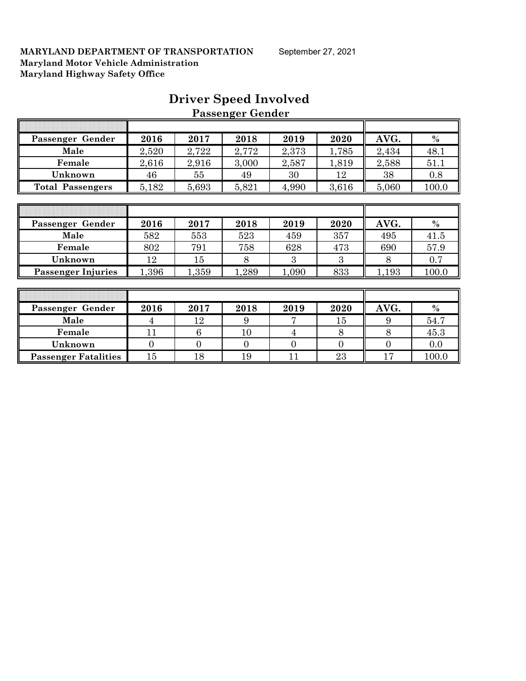| Passenger Gender          | 2016         | 2017           | 2018           | 2019           | 2020           | AVG.             | $\%$  |
|---------------------------|--------------|----------------|----------------|----------------|----------------|------------------|-------|
| Male                      | 2,520        | 2,722          | 2,772          | 2,373          | 1,785          | 2,434            | 48.1  |
| Female                    | 2,616        | 2,916          | 3,000          | 2,587          | 1,819          | 2,588            | 51.1  |
| Unknown                   | 46           | 55             | 49             | 30             | 12             | 38               | 0.8   |
| <b>Total Passengers</b>   | 5,182        | 5,693          | 5,821          | 4,990          | 3,616          | 5,060            | 100.0 |
|                           |              |                |                |                |                |                  |       |
|                           |              |                |                |                |                |                  |       |
| Passenger Gender          | 2016         | 2017           | 2018           | 2019           | 2020           | AVG.             | $\%$  |
| Male                      | 582          | 553            | 523            | 459            | 357            | 495              | 41.5  |
| Female                    | 802          | 791            | 758            | 628            | 473            | 690              | 57.9  |
| Unknown                   | 12           | 15             | 8              | 3              | 3              | 8                | 0.7   |
| <b>Passenger Injuries</b> | 1,396        | 1,359          | 1,289          | 1,090          | 833            | 1,193            | 100.0 |
|                           |              |                |                |                |                |                  |       |
|                           |              |                |                |                |                |                  |       |
| Passenger Gender          | 2016         | 2017           | 2018           | 2019           | 2020           | AVG.             | $\%$  |
| Male                      | 4            | 12             | 9              |                | 15             | 9                | 54.7  |
| Female                    | 11           | 6              | 10             | $\overline{4}$ | 8              | 8                | 45.3  |
| Unknown                   | $\mathbf{0}$ | $\overline{0}$ | $\overline{0}$ | $\overline{0}$ | $\overline{0}$ | $\boldsymbol{0}$ | 0.0   |

**Passenger Fatalities** 15 18 19 11 23 17 100.0

### **Driver Speed Involved Passenger Gender**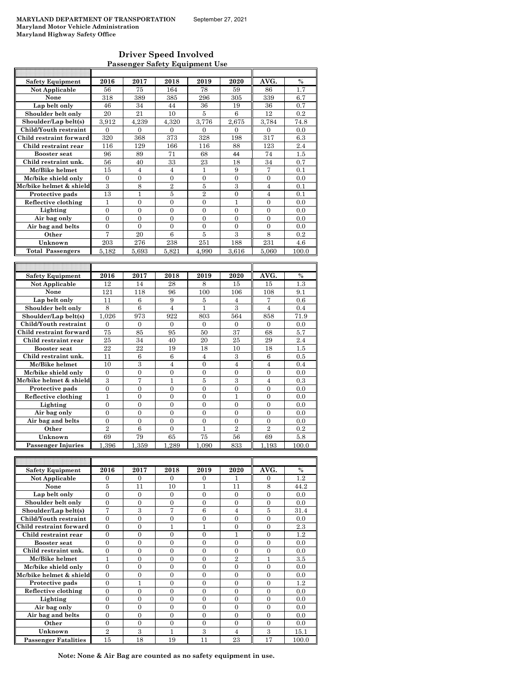#### **Driver Speed Involved Passenger Safety Equipment Use**

| <b>Safety Equipment</b>              | 2016                     | 2017                     | 2018                     | 2019                       | 2020                     | AVG.                 | $\frac{0}{0}$ |
|--------------------------------------|--------------------------|--------------------------|--------------------------|----------------------------|--------------------------|----------------------|---------------|
| Not Applicable                       | 56                       | 75                       | 164                      | 78                         | 59                       | 86                   | 1.7           |
| None                                 | 318                      | 389                      | 385                      | 296                        | 305                      | 339                  | 6.7           |
| Lap belt only                        | 46                       | 34                       | 44                       | 36                         | 19                       | 36                   | 0.7           |
| Shoulder belt only                   | 20                       | 21                       | 10                       | 5                          | 6                        | 12                   | 0.2           |
| Shoulder/Lap belt(s)                 | 3.912                    | 4.239                    | 4.320                    | 3.776                      | 2.675                    | 3.784                | 74.8          |
| Child/Youth restraint                | $\theta$                 | $\theta$                 | $\theta$                 | $\theta$                   | $\theta$                 | $\theta$             | 0.0           |
| Child restraint forward              | 320                      | 368                      | 373                      | 328                        | 198                      | 317                  | 6.3           |
| Child restraint rear                 | 116                      | 129                      | 166                      | 116                        | 88                       | 123                  | 2.4           |
| <b>Booster</b> seat                  | 96                       | 89                       | 71                       | 68                         | 44                       | 74                   | 1.5           |
| Child restraint unk.                 | 56                       | 40                       | 33                       | 23                         | 18                       | 34                   | 0.7           |
| Mc/Bike helmet                       | 15                       | $\overline{4}$           | $\overline{4}$           | 1                          | 9                        | 7                    | 0.1           |
| Mc/bike shield only                  | $\theta$                 | $\theta$                 | $\theta$                 | $\theta$                   | $\Omega$                 | $\Omega$             | 0.0           |
| Mc/bike helmet & shield              | 3                        | 8                        | $\overline{2}$           | 5                          | 3                        | $\overline{4}$       | 0.1           |
| Protective pads                      | 13                       | $\mathbf{1}$             | 5                        | $\overline{2}$             | $\mathbf{0}$             | $\overline{4}$       | 0.1           |
| Reflective clothing                  | $\mathbf{1}$             | $\overline{0}$           | $\overline{0}$           | $\overline{0}$             | $\mathbf{1}$             | $\overline{0}$       | 0.0           |
| Lighting                             | $\theta$                 | $\theta$                 | $\theta$                 | $\theta$                   | $\Omega$                 | $\theta$             | 0.0           |
| Air bag only                         | 0                        | $\overline{0}$           | $\overline{0}$           | $\overline{0}$             | $\Omega$                 | $\overline{0}$       | 0.0           |
| Air bag and belts                    | $\overline{0}$           | $\overline{0}$           | $\overline{0}$           | $\overline{0}$             | $\theta$                 | $\theta$             | 0.0           |
| Other                                | 7                        | 20                       | 6                        | 5                          | 3                        | 8                    | 0.2           |
| Unknown                              | 203                      | 276                      | 238                      | 251                        | 188                      | 231                  | 4.6           |
| <b>Total Passengers</b>              | 5.182                    | 5.693                    | 5.821                    | 4.990                      | 3.616                    | 5.060                | 100.0         |
|                                      |                          |                          |                          |                            |                          |                      |               |
|                                      |                          |                          |                          |                            |                          |                      |               |
|                                      |                          |                          |                          |                            |                          |                      |               |
| <b>Safety Equipment</b>              | 2016                     | 2017                     | 2018                     | 2019                       | 2020                     | AVG.                 | $\%$          |
| <b>Not Applicable</b>                | 12                       | 14                       | 28                       | 8                          | 15                       | 15                   | 1.3           |
| None                                 | 121                      | 118                      | 96                       | 100                        | 106                      | 108                  | 9.1           |
| Lap belt only                        | 11                       | 6                        | 9                        | 5                          | 4                        | 7                    | 0.6           |
| Shoulder belt only                   | 8                        | 6                        | $\overline{4}$           | $\mathbf{1}$               | 3                        | $\overline{4}$       | 0.4           |
| Shoulder/Lap belt(s)                 | 1.026                    | 973                      | 922                      | 803                        | 564                      | 858                  | 71.9          |
| Child/Youth restraint                | $\theta$                 | $\theta$                 | $\theta$                 | $\theta$                   | $\theta$                 | $\theta$             | 0.0           |
| Child restraint forward              | 75                       | 85                       | 95                       | 50                         | 37                       | 68                   | 5.7           |
| Child restraint rear                 | 25                       | 34                       | 40                       | 20                         | 25                       | 29                   | 2.4           |
| <b>Booster</b> seat                  | 22                       | 22                       | 19                       | 18                         | 10                       | 18                   | 1.5           |
| Child restraint unk.                 | 11                       | 6                        | 6                        | 4                          | 3                        | 6                    | 0.5           |
| Mc/Bike helmet                       | 10                       | 3                        | $\overline{4}$           | $\theta$                   | $\overline{4}$           | $\overline{4}$       | 0.4           |
| Mc/bike shield only                  | $\overline{0}$           | $\overline{0}$           | $\overline{0}$           | $\overline{0}$             | $\theta$                 | $\overline{0}$       | 0.0           |
| Mc/bike helmet & shield              | 3                        | 7                        | 1                        | 5                          | 3                        | $\overline{4}$       | 0.3           |
| Protective pads                      | $\overline{0}$           | $\overline{0}$           | $\overline{0}$           | $\overline{0}$             | $\overline{0}$           | $\overline{0}$       | 0.0           |
| Reflective clothing                  | $\mathbf{1}$<br>$\theta$ | $\overline{0}$           | $\overline{0}$           | $\overline{0}$<br>$\theta$ | $\mathbf{1}$<br>$\theta$ | $\theta$<br>$\theta$ | 0.0           |
| Lighting                             |                          | $\overline{0}$           | $\overline{0}$           | $\overline{0}$             | $\overline{0}$           | $\overline{0}$       | 0.0           |
| Air bag only                         | 0<br>$\overline{0}$      | $\mathbf{0}$<br>$\theta$ | $\mathbf{0}$<br>$\theta$ | $\theta$                   | $\theta$                 | $\theta$             | 0.0<br>0.0    |
| Air bag and belts                    |                          |                          |                          |                            |                          |                      | 0.2           |
| Other                                | $\overline{2}$           | 6                        | $\overline{0}$           | $\mathbf{1}$               | $\overline{2}$           | $\overline{2}$       |               |
| Unknown<br><b>Passenger Injuries</b> | 69<br>1,396              | 79<br>1,359              | 65<br>1,289              | 75<br>1,090                | 56<br>833                | 69<br>1,193          | 5.8<br>100.0  |

| <b>Safety Equipment</b>     | 2016     | 2017     | 2018     | 2019     | 2020     | AVG.     | $\frac{0}{0}$ |
|-----------------------------|----------|----------|----------|----------|----------|----------|---------------|
| Not Applicable              | 0        | $\Omega$ | $\Omega$ | $\Omega$ |          | $\Omega$ | $1.2\,$       |
| None                        | 5        | 11       | 10       | 1        | 11       | 8        | 44.2          |
| Lap belt only               | $\theta$ | $\Omega$ | $\Omega$ | $\Omega$ | $\Omega$ | $\Omega$ | 0.0           |
| Shoulder belt only          | $\Omega$ | $\Omega$ | 0        | 0        | $\Omega$ | $\theta$ | 0.0           |
| Shoulder/Lap belt(s)        | 7        | 3        | 7        | 6        | 4        | 5        | 31.4          |
| Child/Youth restraint       | $\theta$ | $\Omega$ | 0        | 0        | $\theta$ | $\theta$ | 0.0           |
| Child restraint forward     | $\theta$ | $\Omega$ |          |          | $\Omega$ | $\Omega$ | 2.3           |
| Child restraint rear        | $\Omega$ | $\Omega$ | 0        | 0        |          | $\Omega$ | 1.2           |
| <b>Booster seat</b>         | $\theta$ | $\Omega$ | 0        | 0        | $\theta$ | $\theta$ | 0.0           |
| Child restraint unk.        | $\Omega$ | $\Omega$ | $\Omega$ | 0        | $\Omega$ | $\Omega$ | 0.0           |
| Mc/Bike helmet              | 1        | $\Omega$ | $\Omega$ | $\Omega$ | 2        |          | 3.5           |
| Mc/bike shield only         | $\Omega$ | 0        | $\Omega$ | 0        | $\Omega$ | $\Omega$ | 0.0           |
| Mc/bike helmet & shield     | $\theta$ | $\Omega$ | $\Omega$ | $\Omega$ | $\Omega$ | $\Omega$ | 0.0           |
| Protective pads             | $\theta$ | 1        | $\Omega$ | $\Omega$ | $\Omega$ | $\Omega$ | 1.2           |
| Reflective clothing         | $\theta$ | $\Omega$ | $\Omega$ | $\Omega$ | $\Omega$ | $\Omega$ | 0.0           |
| Lighting                    | $\Omega$ | 0        | 0        | 0        | $\Omega$ | $\Omega$ | 0.0           |
| Air bag only                | $\theta$ | $\Omega$ | $\Omega$ | $\Omega$ | $\Omega$ | $\Omega$ | 0.0           |
| Air bag and belts           | $\theta$ | $\Omega$ | $\Omega$ | $\Omega$ | $\Omega$ | $\Omega$ | 0.0           |
| Other                       | $\Omega$ | $\Omega$ | $\Omega$ | $\Omega$ | $\theta$ | $\Omega$ | 0.0           |
| Unknown                     | $^{9}$   | 3        |          | 3        | 4        | 3        | 15.1          |
| <b>Passenger Fatalities</b> | 15       | 18       | 19       | 11       | 23       | 17       | 100.0         |

**Note: None & Air Bag are counted as no safety equipment in use.**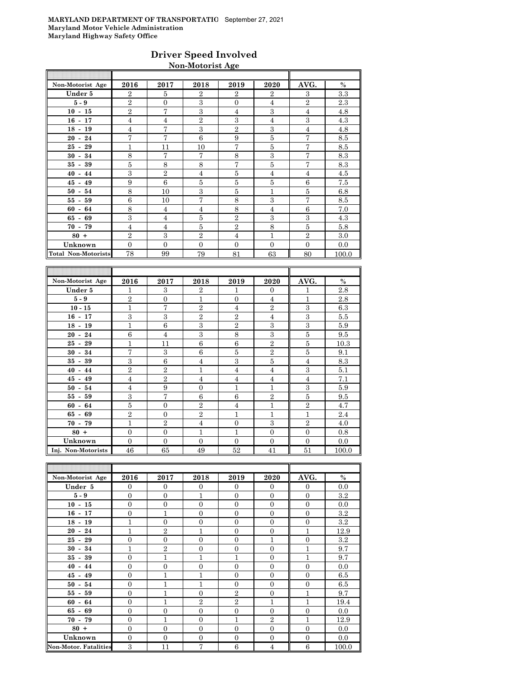### **Driver Speed Involved Non-Motorist Age**

| Non-Motorist Age    | 2016           | 2017           | 2018           | 2019           | 2020           | AVG.           | $\%$  |
|---------------------|----------------|----------------|----------------|----------------|----------------|----------------|-------|
| Under 5             | $\overline{2}$ | 5              | $\mathbf{2}$   | $\overline{2}$ | $\mathbf{2}$   | 3              | 3.3   |
| $5-9$               | $\overline{2}$ | $\Omega$       | 3              | $\Omega$       | $\overline{4}$ | $\overline{2}$ | 2.3   |
| $10 - 15$           | $\overline{2}$ | $\overline{7}$ | 3              | $\overline{4}$ | 3              | $\overline{4}$ | 4.8   |
| $16 - 17$           | $\overline{4}$ | $\overline{4}$ | $\mathbf{2}$   | 3              | $\overline{4}$ | 3              | 4.3   |
| $18 - 19$           | $\overline{4}$ | 7              | 3              | $\overline{2}$ | 3              | $\overline{4}$ | 4.8   |
| $20 - 24$           | $\overline{7}$ | 7              | 6              | 9              | 5              | 7              | 8.5   |
| $25 - 29$           | 1              | 11             | 10             | 7              | 5              | 7              | 8.5   |
| $30 - 34$           | 8              | 7              | 7              | 8              | 3              | 7              | 8.3   |
| $35 - 39$           | 5              | 8              | 8              | 7              | 5              | 7              | 8.3   |
| $40 - 44$           | 3              | $\mathbf{2}$   | $\overline{4}$ | 5              | $\overline{4}$ | $\overline{4}$ | 4.5   |
| $45 - 49$           | 9              | 6              | $\overline{5}$ | 5              | 5              | 6              | 7.5   |
| $50 - 54$           | 8              | 10             | 3              | 5              | $\overline{1}$ | 5              | 6.8   |
| $55 - 59$           | 6              | 10             | 7              | 8              | 3              | 7              | 8.5   |
| $60 - 64$           | 8              | $\overline{4}$ | $\overline{4}$ | 8              | $\overline{4}$ | 6              | 7.0   |
| $65 - 69$           | 3              | $\overline{4}$ | 5              | $\overline{2}$ | 3              | 3              | 4.3   |
| $70 - 79$           | $\overline{4}$ | $\overline{4}$ | 5              | $\overline{2}$ | 8              | 5              | 5.8   |
| $80 +$              | $\overline{2}$ | 3              | $\overline{2}$ | $\overline{4}$ | $\overline{1}$ | $\overline{2}$ | 3.0   |
| Unknown             | $\Omega$       | $\Omega$       | $\Omega$       | $\Omega$       | $\Omega$       | $\Omega$       | 0.0   |
| Total Non-Motorists | 78             | 99             | 79             | 81             | 63             | 80             | 100.0 |

| Non-Motorist Age   | 2016           | 2017           | 2018           | 2019           | 2020           | AVG.           | $\%$  |
|--------------------|----------------|----------------|----------------|----------------|----------------|----------------|-------|
| Under 5            | 1              | 3              | $\overline{2}$ | 1              | $\mathbf{0}$   | 1              | 2.8   |
| $5-9$              | $\overline{2}$ | $\overline{0}$ | 1              | $\Omega$       | $\overline{4}$ | $\mathbf{1}$   | 2.8   |
| $10 - 15$          | 1              | 7              | $\overline{2}$ | $\overline{4}$ | $\overline{2}$ | 3              | 6.3   |
| $16 - 17$          | 3              | 3              | $\overline{2}$ | $\overline{2}$ | $\overline{4}$ | 3              | 5.5   |
| $18 - 19$          | $\mathbf{1}$   | 6              | 3              | $\overline{2}$ | 3              | 3              | 5.9   |
| $20 - 24$          | 6              | $\overline{4}$ | 3              | 8              | 3              | 5              | 9.5   |
| $25 - 29$          | $\mathbf{1}$   | 11             | 6              | 6              | $\overline{2}$ | 5              | 10.3  |
| $30 - 34$          | $\overline{7}$ | 3              | 6              | 5              | $\overline{2}$ | 5              | 9.1   |
| $35 - 39$          | 3              | 6              | $\overline{4}$ | 3              | 5              | $\overline{4}$ | 8.3   |
| $40 - 44$          | $\overline{2}$ | $\overline{2}$ | $\mathbf{1}$   | 4              | 4              | 3              | 5.1   |
| $45 - 49$          | $\overline{4}$ | $\overline{2}$ | $\overline{4}$ | $\overline{4}$ | $\overline{4}$ | $\overline{4}$ | 7.1   |
| $50 - 54$          | $\overline{4}$ | 9              | $\overline{0}$ | $\mathbf{1}$   | 1              | 3              | 5.9   |
| $55 - 59$          | 3              | 7              | 6              | 6              | $\overline{2}$ | 5              | 9.5   |
| $60 - 64$          | 5              | $\overline{0}$ | $\overline{2}$ | $\overline{4}$ | 1              | $\overline{2}$ | 4.7   |
| $65 - 69$          | $\overline{2}$ | $\overline{0}$ | $\overline{2}$ | $\mathbf{1}$   | 1              | 1              | 2.4   |
| $70 - 79$          | 1              | $\overline{2}$ | $\overline{4}$ | $\Omega$       | 3              | $\overline{2}$ | 4.0   |
| $80 +$             | $\Omega$       | $\overline{0}$ | 1              | 1              | $\Omega$       | $\Omega$       | 0.8   |
| Unknown            | $\Omega$       | $\overline{0}$ | $\Omega$       | $\Omega$       | $\Omega$       | $\overline{0}$ | 0.0   |
| Inj. Non-Motorists | 46             | 65             | 49             | 52             | 41             | 51             | 100.0 |

| Non-Motorist Age             | 2016           | 2017           | 2018           | 2019           | 2020             | AVG.           | $\%$    |
|------------------------------|----------------|----------------|----------------|----------------|------------------|----------------|---------|
| Under 5                      | $\mathbf{0}$   | $\mathbf{0}$   | $\Omega$       | $\Omega$       | $\mathbf{0}$     | $\mathbf{0}$   | 0.0     |
| $5-9$                        | $\overline{0}$ | $\mathbf{0}$   | 1              | $\Omega$       | $\mathbf{0}$     | $\mathbf{0}$   | 3.2     |
| $10 - 15$                    | $\overline{0}$ | $\mathbf{0}$   | $\overline{0}$ | $\overline{0}$ | $\mathbf{0}$     | $\mathbf{0}$   | 0.0     |
| $16 - 17$                    | $\overline{0}$ | $\mathbf{1}$   | $\overline{0}$ | $\overline{0}$ | $\mathbf{0}$     | $\mathbf{0}$   | 3.2     |
| $18 - 19$                    | $\mathbf{1}$   | $\overline{0}$ | $\Omega$       | $\overline{0}$ | $\mathbf{0}$     | $\mathbf{0}$   | $3.2\,$ |
| $20 - 24$                    | $\mathbf{1}$   | $\overline{2}$ | $\overline{1}$ | $\Omega$       | $\mathbf{0}$     | $\mathbf{1}$   | 12.9    |
| $25 - 29$                    | $\overline{0}$ | $\overline{0}$ | $\theta$       | $\Omega$       | 1                | $\overline{0}$ | $3.2\,$ |
| $30 - 34$                    | 1              | $\overline{2}$ | $\overline{0}$ | $\overline{0}$ | $\boldsymbol{0}$ | 1              | 9.7     |
| $35 - 39$                    | $\overline{0}$ | $\mathbf{1}$   | 1              | $\mathbf{1}$   | $\mathbf{0}$     | $\mathbf{1}$   | 9.7     |
| $40 - 44$                    | $\overline{0}$ | $\overline{0}$ | $\theta$       | $\Omega$       | $\mathbf{0}$     | $\Omega$       | 0.0     |
| $45 - 49$                    | $\overline{0}$ | 1              | 1              | $\Omega$       | $\mathbf{0}$     | $\mathbf{0}$   | 6.5     |
| $50 - 54$                    | $\overline{0}$ | $\mathbf{1}$   | 1              | $\Omega$       | $\mathbf{0}$     | $\overline{0}$ | 6.5     |
| $55 - 59$                    | $\overline{0}$ | $\mathbf{1}$   | $\Omega$       | $\mathbf{2}$   | $\boldsymbol{0}$ | $\mathbf{1}$   | 9.7     |
| $60 - 64$                    | $\overline{0}$ | $\mathbf{1}$   | $\overline{2}$ | $\overline{2}$ | 1                | $\mathbf{1}$   | 19.4    |
| $65 - 69$                    | $\overline{0}$ | $\overline{0}$ | $\overline{0}$ | $\overline{0}$ | $\mathbf{0}$     | $\overline{0}$ | 0.0     |
| $70 - 79$                    | $\overline{0}$ | $\mathbf{1}$   | $\overline{0}$ | $\mathbf{1}$   | $\overline{2}$   | 1              | 12.9    |
| $80 +$                       | $\overline{0}$ | $\overline{0}$ | $\Omega$       | $\Omega$       | $\mathbf{0}$     | $\Omega$       | 0.0     |
| Unknown                      | $\overline{0}$ | $\mathbf{0}$   | $\overline{0}$ | $\overline{0}$ | $\boldsymbol{0}$ | $\overline{0}$ | 0.0     |
| <b>Non-Motor. Fatalities</b> | 3              | 11             | $\overline{7}$ | 6              | $\overline{4}$   | 6              | 100.0   |

F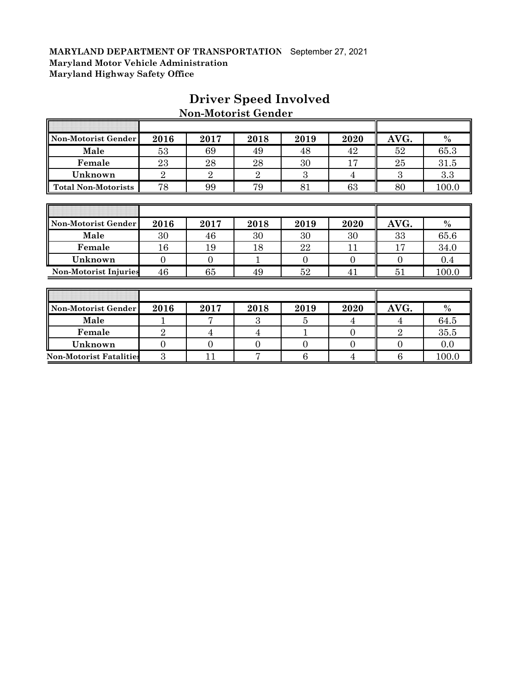F

| Non-Motorist Gender            | 2016           | 2017           | 2018           | 2019           | 2020             | AVG.             | $\%$  |
|--------------------------------|----------------|----------------|----------------|----------------|------------------|------------------|-------|
| Male                           | 53             | 69             | 49             | 48             | 42               | 52               | 65.3  |
| Female                         | 23             | 28             | 28             | 30             | 17               | 25               | 31.5  |
| Unknown                        | $\overline{2}$ | $\overline{2}$ | $\overline{2}$ | 3              | 4                | 3                | 3.3   |
| <b>Total Non-Motorists</b>     | 78             | 99             | 79             | 81             | 63               | 80               | 100.0 |
|                                |                |                |                |                |                  |                  |       |
|                                |                |                |                |                |                  |                  |       |
| Non-Motorist Gender            | 2016           | 2017           | 2018           | 2019           | 2020             | AVG.             | $\%$  |
| Male                           | 30             | 46             | 30             | 30             | 30               | 33               | 65.6  |
| Female                         | 16             | 19             | 18             | 22             | 11               | 17               | 34.0  |
| Unknown                        | $\overline{0}$ | $\theta$       | 1              | $\overline{0}$ | $\overline{0}$   | $\theta$         | 0.4   |
| <b>Non-Motorist Injuries</b>   | 46             | 65             | 49             | 52             | 41               | 51               | 100.0 |
|                                |                |                |                |                |                  |                  |       |
|                                |                |                |                |                |                  |                  |       |
| Non-Motorist Gender            | 2016           | 2017           | 2018           | 2019           | 2020             | AVG.             | $\%$  |
| Male                           | 1              | 7              | 3              | 5              | 4                | 4                | 64.5  |
| Female                         | $\overline{2}$ | $\overline{4}$ | 4              |                | $\overline{0}$   | $\overline{2}$   | 35.5  |
| Unknown                        | $\overline{0}$ | $\overline{0}$ | $\overline{0}$ | $\overline{0}$ | $\boldsymbol{0}$ | $\boldsymbol{0}$ | 0.0   |
| <b>Non-Motorist Fatalities</b> | 3              | 11             | 7              | 6              | $\overline{4}$   | 6                | 100.0 |

### **Driver Speed Involved Non-Motorist Gender**

π

 $\overline{\mathbf{1}}$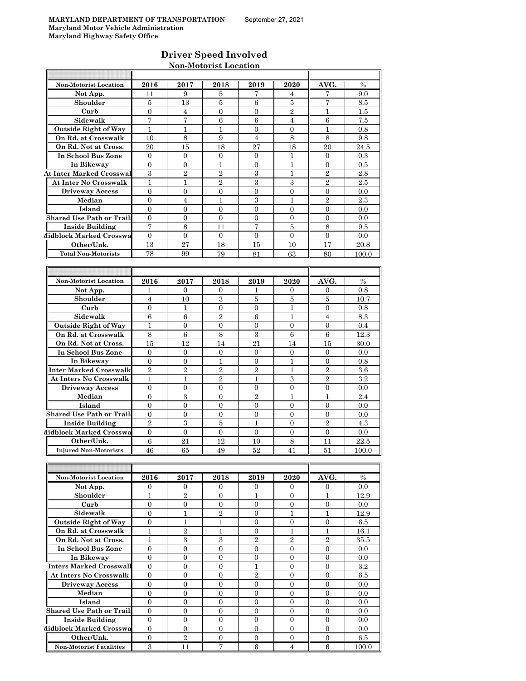#### **Driver Speed Involved Non-Motorist Location**

| Non-Motorist Location            | 2016             | 2017             | 2018             | 2019             | 2020             | AVG.             | $\%$     |
|----------------------------------|------------------|------------------|------------------|------------------|------------------|------------------|----------|
| Not App.                         | 11               | 9                | 5                | 7                | 4                | 7                | 9.0      |
| Shoulder                         | 5                | 13               | 5                | 6                | 5                | 7                | 8.5      |
| Curb                             | $\boldsymbol{0}$ | $\overline{4}$   | $\boldsymbol{0}$ | $\overline{0}$   | $\overline{2}$   | $\mathbf{1}$     | $1.5\,$  |
| Sidewalk                         | 7                | 7                | 6                | 6                | 4                | 6                | 7.5      |
| <b>Outside Right of Way</b>      | $\mathbf{1}$     | $\mathbf{1}$     | $\mathbf{1}$     | $\overline{0}$   | $\overline{0}$   | $\mathbf{1}$     | 0.8      |
| On Rd. at Crosswalk              | 10               | 8                | 9                | $\overline{4}$   | 8                | 8                | 9.8      |
| On Rd. Not at Cross.             | 20               | 15               | 18               | 27               | 18               | 20               | 24.5     |
| In School Bus Zone               | $\overline{0}$   | $\overline{0}$   | $\overline{0}$   | 0                | 1                | $\mathbf{0}$     | $0.3\,$  |
| In Bikeway                       | $\overline{0}$   | $\overline{0}$   | $\mathbf{1}$     | $\overline{0}$   | $\mathbf{1}$     | $\overline{0}$   | 0.5      |
| <b>At Inter Marked Crosswal</b>  | $\,3$            | $\overline{2}$   | $\overline{2}$   | $\boldsymbol{3}$ | $\mathbf{1}$     | $\overline{2}$   | $2.8\,$  |
| At Inter No Crosswalk            | $\mathbf{1}$     | 1                | $\overline{2}$   | 3                | 3                | $\overline{2}$   | 2.5      |
| <b>Driveway Access</b>           | $\overline{0}$   | $\overline{0}$   | $\mathbf{0}$     | $\overline{0}$   | $\overline{0}$   | $\overline{0}$   | 0.0      |
| Median                           | $\overline{0}$   | $\overline{4}$   | $\mathbf{1}$     | 3                | $\mathbf{1}$     | $\overline{2}$   | 2.3      |
| Island                           | $\overline{0}$   | $\overline{0}$   | $\overline{0}$   | $\overline{0}$   | $\overline{0}$   | $\mathbf{0}$     | 0.0      |
| <b>Shared Use Path or Trails</b> | $\overline{0}$   | $\overline{0}$   | $\overline{0}$   | $\overline{0}$   | $\overline{0}$   | $\mathbf{0}$     | 0.0      |
| <b>Inside Building</b>           | 7                | 8                | 11               | 7                | 5                | 8                | 9.5      |
| Midblock Marked Crosswa          | $\mathbf{0}$     | $\overline{0}$   | $\mathbf{0}$     | $\overline{0}$   | $\overline{0}$   | $\overline{0}$   | 0.0      |
| Other/Unk.                       | 13               | 27               | 18               | 15               | 10               | 17               | 20.8     |
| <b>Total Non-Motorists</b>       | 78               | 99               | 79               | 81               | 63               | 80               | 100.0    |
|                                  |                  |                  |                  |                  |                  |                  |          |
|                                  |                  |                  |                  |                  |                  |                  |          |
| <b>Non-Motorist Location</b>     | 2016             | 2017             | 2018             | 2019             | 2020             | AVG.             | $\%$     |
| Not App.                         | 1                | 0                | 0                | 1                | 0                | 0                | 0.8      |
| Shoulder                         | 4                | 10               | 3                | 5                | 5                | 5                | 10.7     |
| Curb                             | $\mathbf{0}$     | $\mathbf{1}$     | $\overline{0}$   | $\overline{0}$   | $\mathbf{1}$     | $\overline{0}$   | 0.8      |
| Sidewalk                         | $\,6$            | 6                | $\sqrt{2}$       | 6                | 1                | $\overline{4}$   | 8.3      |
| <b>Outside Right of Way</b>      | $\mathbf{1}$     | $\mathbf{0}$     | $\mathbf{0}$     | $\overline{0}$   | $\overline{0}$   | $\overline{0}$   | 0.4      |
| On Rd. at Crosswalk              | 8                | $\,6$            | 8                | 3                | $\boldsymbol{6}$ | $\boldsymbol{6}$ | 12.3     |
| On Rd. Not at Cross.             | 15               | 12               | 14               | 21               | 14               | 15               | 30.0     |
| In School Bus Zone               | $\boldsymbol{0}$ | $\boldsymbol{0}$ | $\overline{0}$   | $\overline{0}$   | $\overline{0}$   | $\overline{0}$   | 0.0      |
| In Bikeway                       | $\overline{0}$   | $\mathbf{0}$     | $\mathbf{1}$     | $\overline{0}$   | 1                | $\Omega$         | 0.8      |
| <b>Inter Marked Crosswalk</b>    | $\overline{2}$   | $\overline{2}$   | $\overline{2}$   | $\overline{2}$   | $\mathbf{1}$     | $\overline{2}$   | 3.6      |
| <b>At Inters No Crosswalk</b>    | 1                | 1                | $\overline{2}$   | 1                | 3                | $\overline{2}$   | 3.2      |
| <b>Driveway Access</b>           | $\mathbf{0}$     | $\overline{0}$   | $\mathbf{0}$     | $\overline{0}$   | $\overline{0}$   | $\overline{0}$   | 0.0      |
| Median                           | $\mathbf{0}$     | 3                | $\overline{0}$   | $\overline{2}$   | $\mathbf{1}$     | $\mathbf{1}$     | 2.4      |
| Island                           | $\mathbf{0}$     | $\mathbf{0}$     | $\overline{0}$   | 0                | $\overline{0}$   | $\mathbf{0}$     | 0.0      |
| <b>Shared Use Path or Trails</b> | 0                | 0                | 0                | 0                | 0                | 0                | 0.0      |
| <b>Inside Building</b>           | $\overline{2}$   | 3                | 5                | 1                | $\overline{0}$   | $\overline{2}$   | 4.3      |
| Midblock Marked Crosswa          | $\mathbf{0}$     | $\mathbf{0}$     | $\overline{0}$   | $\overline{0}$   | $\overline{0}$   | $\overline{0}$   | 0.0      |
| Other/Unk.                       | $\,6$            | 21               | 12               | 10               | $\,8\,$          | 11               | $22.5\,$ |
| <b>Injured Non-Motorists</b>     | 46               | 65               | 49               | $52\,$           | 41               | 51               | 100.0    |
|                                  |                  |                  |                  |                  |                  |                  |          |
|                                  |                  |                  |                  |                  |                  |                  |          |
| Non-Motorist Location            | 2016             | 2017             | 2018             | 2019             | 2020             | AVG.             | $\%$     |
| Not App.                         | $\mathbf{0}$     | 0                | 0                | 0                | 0                | 0                | 0.0      |
| Shoulder                         | $\mathbf{1}$     | $\overline{2}$   | $\overline{0}$   | $\mathbf 1$      | $\overline{0}$   | $\mathbf{1}$     | 12.9     |
| Curb                             | $\boldsymbol{0}$ | $\mathbf{0}$     | $\overline{0}$   | $\overline{0}$   | $\overline{0}$   | $\boldsymbol{0}$ | 0.0      |
| Sidewalk                         | $\overline{0}$   | $\mathbf 1$      | $\,2$            | 0                | $\mathbf{1}$     | $\mathbf{1}$     | 12.9     |
| <b>Outside Right of Way</b>      | 0                | $\mathbf{1}$     | $\mathbf 1$      | 0                | $\boldsymbol{0}$ | $\mathbf{0}$     | 6.5      |
| On Rd. at Crosswalk              | $\mathbf{1}$     | $\,2$            | $\mathbf{1}$     | $\boldsymbol{0}$ | $\mathbf{1}$     | $\mathbf{1}$     | 16.1     |
| On Rd. Not at Cross.             | $\mathbf{1}$     | $\,3$            | $\boldsymbol{3}$ | $\overline{2}$   | $\overline{2}$   | $\,2$            | 35.5     |
| In School Bus Zone               | $\overline{0}$   | $\mathbf{0}$     | $\overline{0}$   | $\boldsymbol{0}$ | $\boldsymbol{0}$ | $\mathbf{0}$     | 0.0      |
| In Bikeway                       | $\overline{0}$   | $\overline{0}$   | $\overline{0}$   | $\overline{0}$   | $\mathbf{0}$     | $\mathbf{0}$     | 0.0      |
|                                  |                  |                  |                  |                  |                  |                  |          |

**Inters Marked Crosswall** 0 0 0 0 1 0 0 0 3.2 **At Inters No Crosswalk** 0 0 0 2 0 0 6.5 **Driveway Access** 0 0 0 0 0 0 0.0 **Median | 0 | 0 | 0 | 0 | 0 | 0 | 0.0 Island** 0 0 0 0 0 0 0.0

l

П

**Shared Use Path or Trails** 0 0 0 0 0 0 0.0 **Inside Building** 0 0 0 0 0 0 0.0 **Midblock Marked Crosswa** 0 0 0 0 0 0 0 0 0 0 0 0.0 **Other/Unk.** 0 2 0 0 0 0 0 6.5 **Non-Motorist Fatalities** 3 1 11 7 6 4 6 100.0